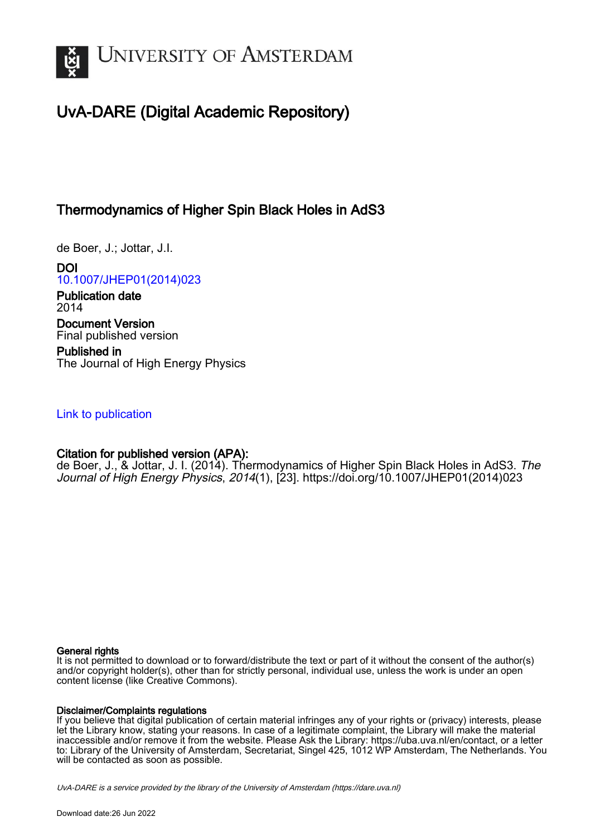

# UvA-DARE (Digital Academic Repository)

## Thermodynamics of Higher Spin Black Holes in AdS3

de Boer, J.; Jottar, J.I.

DOI [10.1007/JHEP01\(2014\)023](https://doi.org/10.1007/JHEP01(2014)023)

Publication date 2014 Document Version Final published version

Published in The Journal of High Energy Physics

## [Link to publication](https://dare.uva.nl/personal/pure/en/publications/thermodynamics-of-higher-spin-black-holes-in-ads3(dca2cced-45bc-4801-8711-1352e0dc86f7).html)

## Citation for published version (APA):

de Boer, J., & Jottar, J. I. (2014). Thermodynamics of Higher Spin Black Holes in AdS3. The Journal of High Energy Physics, 2014(1), [23]. [https://doi.org/10.1007/JHEP01\(2014\)023](https://doi.org/10.1007/JHEP01(2014)023)

#### General rights

It is not permitted to download or to forward/distribute the text or part of it without the consent of the author(s) and/or copyright holder(s), other than for strictly personal, individual use, unless the work is under an open content license (like Creative Commons).

#### Disclaimer/Complaints regulations

If you believe that digital publication of certain material infringes any of your rights or (privacy) interests, please let the Library know, stating your reasons. In case of a legitimate complaint, the Library will make the material inaccessible and/or remove it from the website. Please Ask the Library: https://uba.uva.nl/en/contact, or a letter to: Library of the University of Amsterdam, Secretariat, Singel 425, 1012 WP Amsterdam, The Netherlands. You will be contacted as soon as possible.

UvA-DARE is a service provided by the library of the University of Amsterdam (http*s*://dare.uva.nl)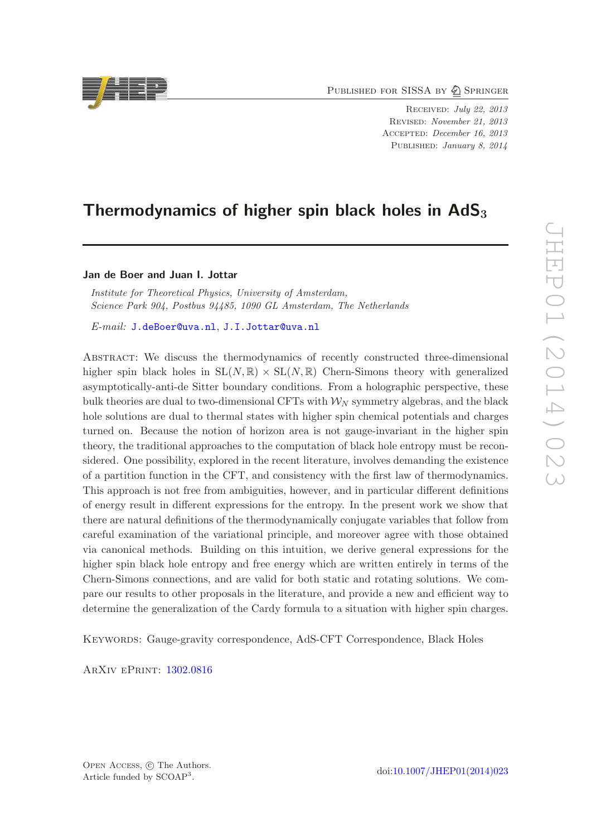PUBLISHED FOR SISSA BY 2 SPRINGER

Received: July 22, 2013 Revised: November 21, 2013 Accepted: December 16, 2013 PUBLISHED: January 8, 2014

## Thermodynamics of higher spin black holes in  $AdS_3$

Jan de Boer and Juan I. Jottar

*Institute for Theoretical Physics, University of Amsterdam, Science Park 904, Postbus 94485, 1090 GL Amsterdam, The Netherlands*

*E-mail:* [J.deBoer@uva.nl](mailto:J.deBoer@uva.nl), [J.I.Jottar@uva.nl](mailto:J.I.Jottar@uva.nl)

Abstract: We discuss the thermodynamics of recently constructed three-dimensional higher spin black holes in  $SL(N, \mathbb{R}) \times SL(N, \mathbb{R})$  Chern-Simons theory with generalized asymptotically-anti-de Sitter boundary conditions. From a holographic perspective, these bulk theories are dual to two-dimensional CFTs with  $\mathcal{W}_{N}$  symmetry algebras, and the black hole solutions are dual to thermal states with higher spin chemical potentials and charges turned on. Because the notion of horizon area is not gauge-invariant in the higher spin theory, the traditional approaches to the computation of black hole entropy must be reconsidered. One possibility, explored in the recent literature, involves demanding the existence of a partition function in the CFT, and consistency with the first law of thermodynamics. This approach is not free from ambiguities, however, and in particular different definitions of energy result in different expressions for the entropy. In the present work we show that there are natural definitions of the thermodynamically conjugate variables that follow from careful examination of the variational principle, and moreover agree with those obtained via canonical methods. Building on this intuition, we derive general expressions for the higher spin black hole entropy and free energy which are written entirely in terms of the Chern-Simons connections, and are valid for both static and rotating solutions. We compare our results to other proposals in the literature, and provide a new and efficient way to determine the generalization of the Cardy formula to a situation with higher spin charges.

Keywords: Gauge-gravity correspondence, AdS-CFT Correspondence, Black Holes

ArXiv ePrint: [1302.0816](http://arxiv.org/abs/1302.0816)

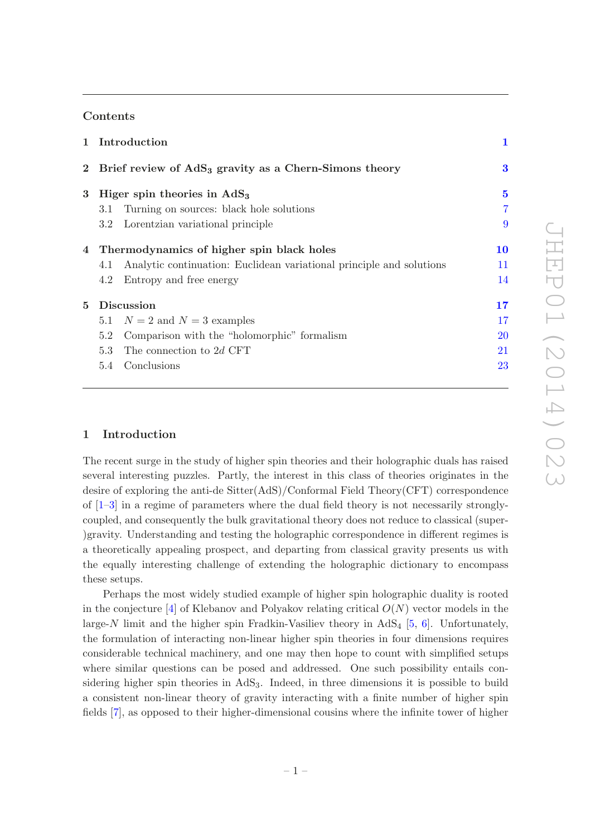#### Contents

|             |                                                                     | 1 Introduction                                                       | 1              |
|-------------|---------------------------------------------------------------------|----------------------------------------------------------------------|----------------|
|             | 2 Brief review of AdS <sub>3</sub> gravity as a Chern-Simons theory |                                                                      | $\bf{3}$       |
| 3           |                                                                     | Higer spin theories in $AdS3$                                        |                |
|             | 3.1                                                                 | Turning on sources: black hole solutions                             | $\overline{7}$ |
|             |                                                                     | 3.2 Lorentzian variational principle                                 | 9              |
|             | 4 Thermodynamics of higher spin black holes                         |                                                                      | 10             |
|             | 4.1                                                                 | Analytic continuation: Euclidean variational principle and solutions | 11             |
|             | 4.2                                                                 | Entropy and free energy                                              | 14             |
| $5^{\circ}$ | Discussion                                                          |                                                                      | 17             |
|             |                                                                     | 5.1 $N = 2$ and $N = 3$ examples                                     | 17             |
|             | 5.2                                                                 | Comparison with the "holomorphic" formalism                          | <b>20</b>      |
|             | 5.3                                                                 | The connection to 2d CFT                                             | 21             |
|             | 5.4                                                                 | Conclusions                                                          | 23             |
|             |                                                                     |                                                                      |                |

#### <span id="page-2-0"></span>1 Introduction

The recent surge in the study of higher spin theories and their holographic duals has raised several interesting puzzles. Partly, the interest in this class of theories originates in the desire of exploring the anti-de Sitter(AdS)/Conformal Field Theory(CFT) correspondence of  $[1-3]$  in a regime of parameters where the dual field theory is not necessarily stronglycoupled, and consequently the bulk gravitational theory does not reduce to classical (super- )gravity. Understanding and testing the holographic correspondence in different regimes is a theoretically appealing prospect, and departing from classical gravity presents us with the equally interesting challenge of extending the holographic dictionary to encompass these setups.

Perhaps the most widely studied example of higher spin holographic duality is rooted in the conjecture  $[4]$  of Klebanov and Polyakov relating critical  $O(N)$  vector models in the large-N limit and the higher spin Fradkin-Vasiliev theory in  $AdS_4$  [\[5](#page-27-2), [6](#page-27-3)]. Unfortunately, the formulation of interacting non-linear higher spin theories in four dimensions requires considerable technical machinery, and one may then hope to count with simplified setups where similar questions can be posed and addressed. One such possibility entails considering higher spin theories in  $AdS_3$ . Indeed, in three dimensions it is possible to build a consistent non-linear theory of gravity interacting with a finite number of higher spin fields [\[7\]](#page-27-4), as opposed to their higher-dimensional cousins where the infinite tower of higher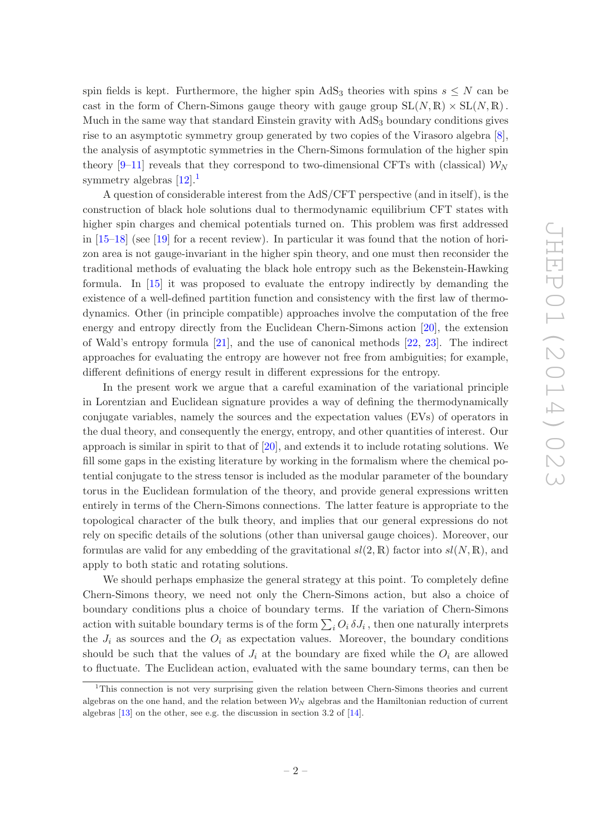spin fields is kept. Furthermore, the higher spin AdS<sub>3</sub> theories with spins  $s \leq N$  can be cast in the form of Chern-Simons gauge theory with gauge group  $SL(N, \mathbb{R}) \times SL(N, \mathbb{R})$ . Much in the same way that standard Einstein gravity with AdS<sub>3</sub> boundary conditions gives rise to an asymptotic symmetry group generated by two copies of the Virasoro algebra [\[8\]](#page-27-5), the analysis of asymptotic symmetries in the Chern-Simons formulation of the higher spin theory [\[9](#page-27-6)[–11\]](#page-27-7) reveals that they correspond to two-dimensional CFTs with (classical)  $\mathcal{W}_{N}$ symmetry algebras  $[12]$  $[12]$  $[12]$ <sup>1</sup>

A question of considerable interest from the AdS/CFT perspective (and in itself), is the construction of black hole solutions dual to thermodynamic equilibrium CFT states with higher spin charges and chemical potentials turned on. This problem was first addressed in [\[15](#page-27-9)[–18](#page-27-10)] (see [\[19](#page-27-11)] for a recent review). In particular it was found that the notion of horizon area is not gauge-invariant in the higher spin theory, and one must then reconsider the traditional methods of evaluating the black hole entropy such as the Bekenstein-Hawking formula. In [\[15](#page-27-9)] it was proposed to evaluate the entropy indirectly by demanding the existence of a well-defined partition function and consistency with the first law of thermodynamics. Other (in principle compatible) approaches involve the computation of the free energy and entropy directly from the Euclidean Chern-Simons action [\[20](#page-27-12)], the extension of Wald's entropy formula [\[21](#page-27-13)], and the use of canonical methods [\[22,](#page-27-14) [23](#page-28-0)]. The indirect approaches for evaluating the entropy are however not free from ambiguities; for example, different definitions of energy result in different expressions for the entropy.

In the present work we argue that a careful examination of the variational principle in Lorentzian and Euclidean signature provides a way of defining the thermodynamically conjugate variables, namely the sources and the expectation values (EVs) of operators in the dual theory, and consequently the energy, entropy, and other quantities of interest. Our approach is similar in spirit to that of [\[20\]](#page-27-12), and extends it to include rotating solutions. We fill some gaps in the existing literature by working in the formalism where the chemical potential conjugate to the stress tensor is included as the modular parameter of the boundary torus in the Euclidean formulation of the theory, and provide general expressions written entirely in terms of the Chern-Simons connections. The latter feature is appropriate to the topological character of the bulk theory, and implies that our general expressions do not rely on specific details of the solutions (other than universal gauge choices). Moreover, our formulas are valid for any embedding of the gravitational  $sl(2, \mathbb{R})$  factor into  $sl(N, \mathbb{R})$ , and apply to both static and rotating solutions.

We should perhaps emphasize the general strategy at this point. To completely define Chern-Simons theory, we need not only the Chern-Simons action, but also a choice of boundary conditions plus a choice of boundary terms. If the variation of Chern-Simons action with suitable boundary terms is of the form  $\sum_i O_i \delta J_i$ , then one naturally interprets the  $J_i$  as sources and the  $O_i$  as expectation values. Moreover, the boundary conditions should be such that the values of  $J_i$  at the boundary are fixed while the  $O_i$  are allowed to fluctuate. The Euclidean action, evaluated with the same boundary terms, can then be

<span id="page-3-0"></span><sup>1</sup>This connection is not very surprising given the relation between Chern-Simons theories and current algebras on the one hand, and the relation between  $\mathcal{W}_N$  algebras and the Hamiltonian reduction of current algebras [\[13](#page-27-15)] on the other, see e.g. the discussion in section 3.2 of [\[14](#page-27-16)].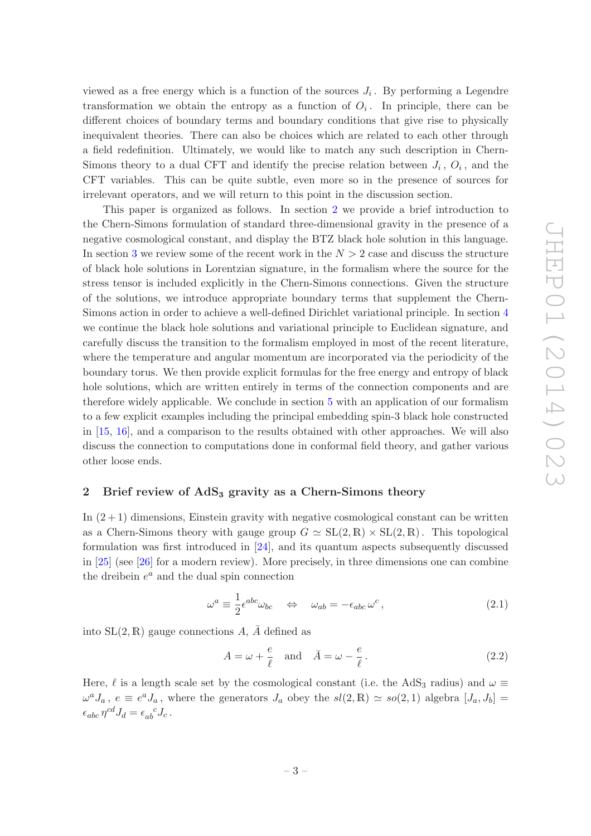viewed as a free energy which is a function of the sources  $J_i$ . By performing a Legendre transformation we obtain the entropy as a function of  $O_i$ . In principle, there can be different choices of boundary terms and boundary conditions that give rise to physically inequivalent theories. There can also be choices which are related to each other through a field redefinition. Ultimately, we would like to match any such description in Chern-Simons theory to a dual CFT and identify the precise relation between  $J_i$ ,  $O_i$ , and the CFT variables. This can be quite subtle, even more so in the presence of sources for irrelevant operators, and we will return to this point in the discussion section.

This paper is organized as follows. In section [2](#page-4-0) we provide a brief introduction to the Chern-Simons formulation of standard three-dimensional gravity in the presence of a negative cosmological constant, and display the BTZ black hole solution in this language. In section [3](#page-6-0) we review some of the recent work in the  $N > 2$  case and discuss the structure of black hole solutions in Lorentzian signature, in the formalism where the source for the stress tensor is included explicitly in the Chern-Simons connections. Given the structure of the solutions, we introduce appropriate boundary terms that supplement the Chern-Simons action in order to achieve a well-defined Dirichlet variational principle. In section [4](#page-11-0) we continue the black hole solutions and variational principle to Euclidean signature, and carefully discuss the transition to the formalism employed in most of the recent literature, where the temperature and angular momentum are incorporated via the periodicity of the boundary torus. We then provide explicit formulas for the free energy and entropy of black hole solutions, which are written entirely in terms of the connection components and are therefore widely applicable. We conclude in section [5](#page-18-0) with an application of our formalism to a few explicit examples including the principal embedding spin-3 black hole constructed in [\[15](#page-27-9), [16\]](#page-27-17), and a comparison to the results obtained with other approaches. We will also discuss the connection to computations done in conformal field theory, and gather various other loose ends.

#### <span id="page-4-0"></span>2 Brief review of  $AdS<sub>3</sub>$  gravity as a Chern-Simons theory

In  $(2+1)$  dimensions, Einstein gravity with negative cosmological constant can be written as a Chern-Simons theory with gauge group  $G \simeq SL(2,\mathbb{R}) \times SL(2,\mathbb{R})$ . This topological formulation was first introduced in [\[24\]](#page-28-1), and its quantum aspects subsequently discussed in [\[25\]](#page-28-2) (see [\[26](#page-28-3)] for a modern review). More precisely, in three dimensions one can combine the dreibein  $e^a$  and the dual spin connection

$$
\omega^a \equiv \frac{1}{2} \epsilon^{abc} \omega_{bc} \quad \Leftrightarrow \quad \omega_{ab} = -\epsilon_{abc} \,\omega^c \,, \tag{2.1}
$$

into  $SL(2, \mathbb{R})$  gauge connections A,  $\overline{A}$  defined as

$$
A = \omega + \frac{e}{\ell} \quad \text{and} \quad \bar{A} = \omega - \frac{e}{\ell} \,. \tag{2.2}
$$

Here,  $\ell$  is a length scale set by the cosmological constant (i.e. the AdS<sub>3</sub> radius) and  $\omega \equiv$  $\omega^a J_a$ ,  $e \equiv e^a J_a$ , where the generators  $J_a$  obey the  $sl(2, \mathbb{R}) \simeq so(2, 1)$  algebra  $[J_a, J_b] =$  $\epsilon_{abc} \eta^{cd} J_d = \epsilon_{ab}^{\ \ c} J_c$ .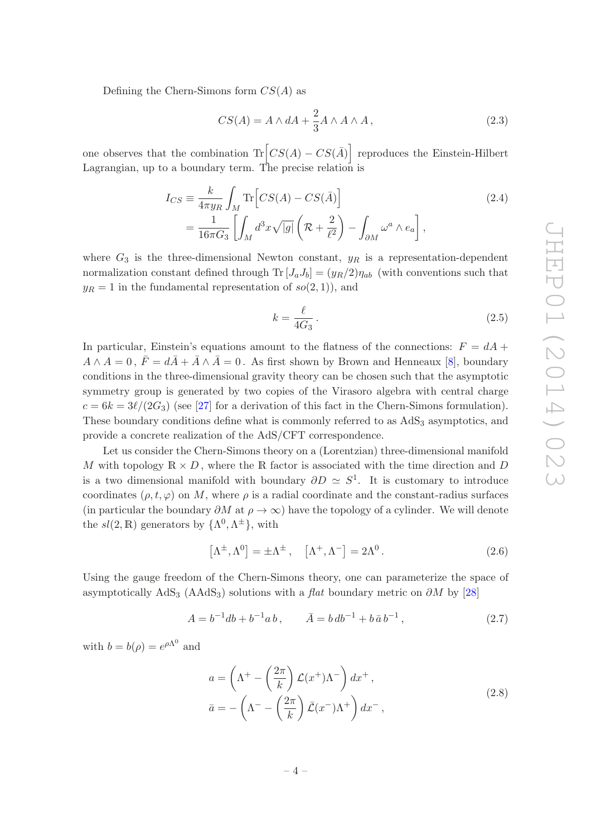Defining the Chern-Simons form  $CS(A)$  as

$$
CS(A) = A \wedge dA + \frac{2}{3}A \wedge A \wedge A, \qquad (2.3)
$$

one observes that the combination  $\text{Tr}\left[CS(A) - CS(\overline{A})\right]$  reproduces the Einstein-Hilbert Lagrangian, up to a boundary term. The precise relation is

$$
I_{CS} \equiv \frac{k}{4\pi y_R} \int_M \text{Tr}\left[CS(A) - CS(\bar{A})\right]
$$
  
= 
$$
\frac{1}{16\pi G_3} \left[ \int_M d^3x \sqrt{|g|} \left( \mathcal{R} + \frac{2}{\ell^2} \right) - \int_{\partial M} \omega^a \wedge e_a \right],
$$
 (2.4)

where  $G_3$  is the three-dimensional Newton constant,  $y_R$  is a representation-dependent normalization constant defined through  $\text{Tr} [J_a J_b] = (y_R/2)\eta_{ab}$  (with conventions such that  $y_R = 1$  in the fundamental representation of  $so(2, 1)$ , and

$$
k = \frac{\ell}{4G_3} \,. \tag{2.5}
$$

In particular, Einstein's equations amount to the flatness of the connections:  $F = dA +$  $A \wedge A = 0$ ,  $\bar{F} = d\bar{A} + \bar{A} \wedge \bar{A} = 0$ . As first shown by Brown and Henneaux [\[8](#page-27-5)], boundary conditions in the three-dimensional gravity theory can be chosen such that the asymptotic symmetry group is generated by two copies of the Virasoro algebra with central charge  $c = 6k = 3\ell/(2G_3)$  (see [\[27](#page-28-4)] for a derivation of this fact in the Chern-Simons formulation). These boundary conditions define what is commonly referred to as  $AdS<sub>3</sub>$  asymptotics, and provide a concrete realization of the AdS/CFT correspondence.

Let us consider the Chern-Simons theory on a (Lorentzian) three-dimensional manifold M with topology  $\mathbb{R} \times D$ , where the R factor is associated with the time direction and D is a two dimensional manifold with boundary  $\partial D \simeq S^1$ . It is customary to introduce coordinates  $(\rho, t, \varphi)$  on M, where  $\rho$  is a radial coordinate and the constant-radius surfaces (in particular the boundary  $\partial M$  at  $\rho \to \infty$ ) have the topology of a cylinder. We will denote the  $sl(2,\mathbb{R})$  generators by  $\{\Lambda^0,\Lambda^{\pm}\}\,$ , with

<span id="page-5-0"></span>
$$
\left[\Lambda^{\pm}, \Lambda^{0}\right] = \pm \Lambda^{\pm} , \quad \left[\Lambda^{+}, \Lambda^{-}\right] = 2\Lambda^{0} . \tag{2.6}
$$

Using the gauge freedom of the Chern-Simons theory, one can parameterize the space of asymptotically  $AdS_3$  ( $AdS_3$ ) solutions with a *flat* boundary metric on  $\partial M$  by [\[28\]](#page-28-5)

$$
A = b^{-1}db + b^{-1}ab , \qquad \bar{A} = b\,db^{-1} + b\,\bar{a}\,b^{-1} , \tag{2.7}
$$

with  $b = b(\rho) = e^{\rho \Lambda^0}$  and

$$
a = \left(\Lambda^+ - \left(\frac{2\pi}{k}\right)\mathcal{L}(x^+)\Lambda^-\right)dx^+,
$$
  

$$
\bar{a} = -\left(\Lambda^- - \left(\frac{2\pi}{k}\right)\bar{\mathcal{L}}(x^-)\Lambda^+\right)dx^-,
$$
 (2.8)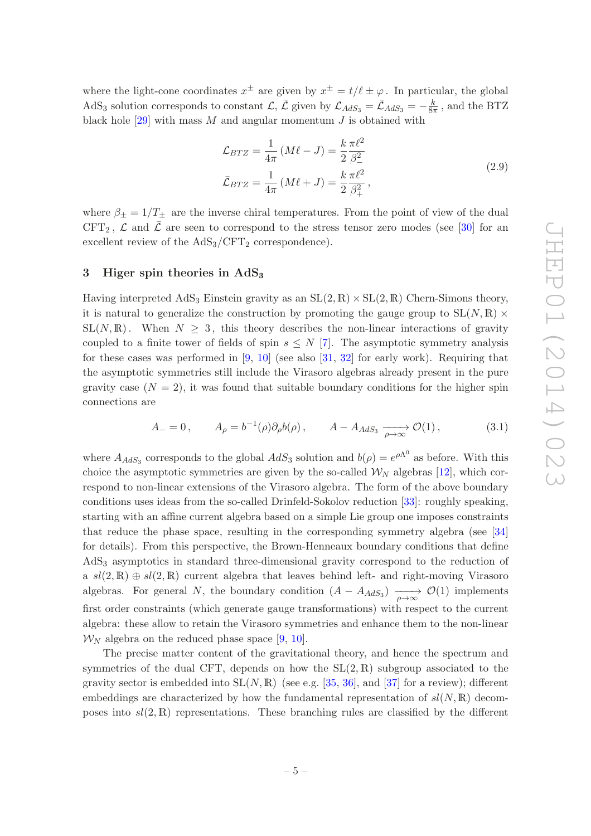where the light-cone coordinates  $x^{\pm}$  are given by  $x^{\pm} = t/\ell \pm \varphi$ . In particular, the global AdS<sub>3</sub> solution corresponds to constant  $\mathcal{L}, \bar{\mathcal{L}}$  given by  $\mathcal{L}_{AdS_3} = \bar{\mathcal{L}}_{AdS_3} = -\frac{k}{8\pi}$  $\frac{\kappa}{8\pi}$ , and the BTZ black hole  $[29]$  with mass M and angular momentum J is obtained with

$$
\mathcal{L}_{BTZ} = \frac{1}{4\pi} \left( M\ell - J \right) = \frac{k}{2} \frac{\pi \ell^2}{\beta_-^2} \n\bar{\mathcal{L}}_{BTZ} = \frac{1}{4\pi} \left( M\ell + J \right) = \frac{k}{2} \frac{\pi \ell^2}{\beta_+^2},
$$
\n(2.9)

where  $\beta_{\pm} = 1/T_{\pm}$  are the inverse chiral temperatures. From the point of view of the dual  $CFT_2$ ,  $\mathcal L$  and  $\overline{\mathcal{L}}$  are seen to correspond to the stress tensor zero modes (see [\[30](#page-28-7)] for an excellent review of the  $AdS_3/CFT_2$  correspondence).

#### <span id="page-6-0"></span>3 Higer spin theories in  $AdS_3$

Having interpreted AdS<sub>3</sub> Einstein gravity as an  $SL(2, \mathbb{R}) \times SL(2, \mathbb{R})$  Chern-Simons theory, it is natural to generalize the construction by promoting the gauge group to  $SL(N, \mathbb{R})$  ×  $SL(N, \mathbb{R})$ . When  $N \geq 3$ , this theory describes the non-linear interactions of gravity coupled to a finite tower of fields of spin  $s \leq N$  [\[7](#page-27-4)]. The asymptotic symmetry analysis for these cases was performed in  $[9, 10]$  $[9, 10]$  $[9, 10]$  (see also  $[31, 32]$  $[31, 32]$  for early work). Requiring that the asymptotic symmetries still include the Virasoro algebras already present in the pure gravity case  $(N = 2)$ , it was found that suitable boundary conditions for the higher spin connections are

<span id="page-6-1"></span>
$$
A_{-} = 0, \qquad A_{\rho} = b^{-1}(\rho)\partial_{\rho}b(\rho), \qquad A - A_{AdS_3} \xrightarrow[\rho \to \infty]{} \mathcal{O}(1), \tag{3.1}
$$

where  $A_{AdS_3}$  corresponds to the global  $AdS_3$  solution and  $b(\rho) = e^{\rho \Lambda^0}$  as before. With this choice the asymptotic symmetries are given by the so-called  $\mathcal{W}_N$  algebras [\[12\]](#page-27-8), which correspond to non-linear extensions of the Virasoro algebra. The form of the above boundary conditions uses ideas from the so-called Drinfeld-Sokolov reduction [\[33](#page-28-10)]: roughly speaking, starting with an affine current algebra based on a simple Lie group one imposes constraints that reduce the phase space, resulting in the corresponding symmetry algebra (see [\[34\]](#page-28-11) for details). From this perspective, the Brown-Henneaux boundary conditions that define AdS<sup>3</sup> asymptotics in standard three-dimensional gravity correspond to the reduction of a  $sl(2,\mathbb{R})\oplus sl(2,\mathbb{R})$  current algebra that leaves behind left- and right-moving Virasoro algebras. For general N, the boundary condition  $(A - A_{AdS_3}) \longrightarrow O(1)$  implements first order constraints (which generate gauge transformations) with respect to the current algebra: these allow to retain the Virasoro symmetries and enhance them to the non-linear  $W_N$  algebra on the reduced phase space [\[9,](#page-27-6) [10](#page-27-18)].

The precise matter content of the gravitational theory, and hence the spectrum and symmetries of the dual CFT, depends on how the  $SL(2,\mathbb{R})$  subgroup associated to the gravity sector is embedded into  $SL(N, \mathbb{R})$  (see e.g. [\[35,](#page-28-12) [36\]](#page-28-13), and [\[37](#page-28-14)] for a review); different embeddings are characterized by how the fundamental representation of  $sl(N,\mathbb{R})$  decomposes into  $sl(2,\mathbb{R})$  representations. These branching rules are classified by the different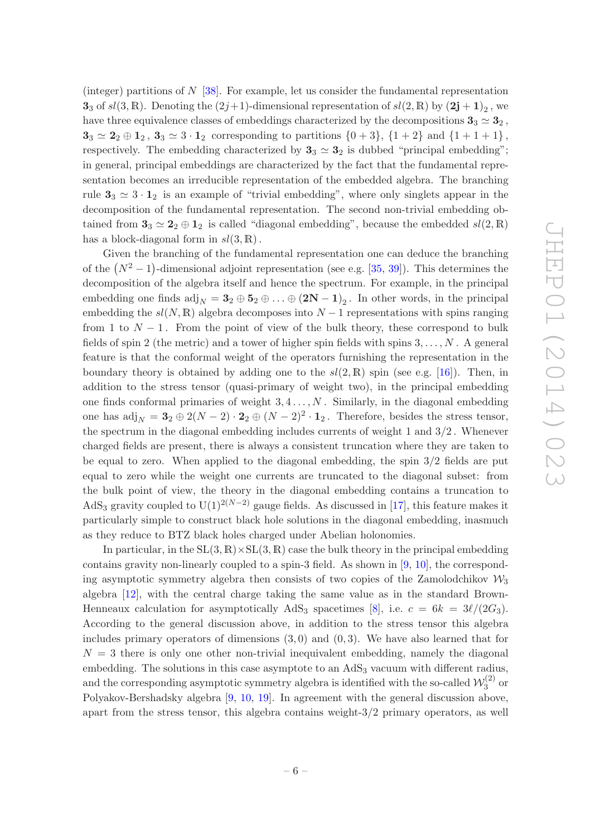(integer) partitions of  $N$  [\[38](#page-28-15)]. For example, let us consider the fundamental representation 3<sub>3</sub> of  $sl(3, \mathbb{R})$ . Denoting the  $(2j+1)$ -dimensional representation of  $sl(2, \mathbb{R})$  by  $(2j+1)_2$ , we have three equivalence classes of embeddings characterized by the decompositions  $3_3 \simeq 3_2$ ,  $3_3 \simeq 2_2 \oplus 1_2$ ,  $3_3 \simeq 3 \cdot 1_2$  corresponding to partitions  $\{0+3\}$ ,  $\{1+2\}$  and  $\{1+1+1\}$ , respectively. The embedding characterized by  $3_3 \simeq 3_2$  is dubbed "principal embedding"; in general, principal embeddings are characterized by the fact that the fundamental representation becomes an irreducible representation of the embedded algebra. The branching rule  $3_3 \simeq 3 \cdot 1_2$  is an example of "trivial embedding", where only singlets appear in the decomposition of the fundamental representation. The second non-trivial embedding obtained from  $3_3 \simeq 2_2 \oplus 1_2$  is called "diagonal embedding", because the embedded  $sl(2,\mathbb{R})$ has a block-diagonal form in  $sl(3,\mathbb{R})$ .

Given the branching of the fundamental representation one can deduce the branching of the  $(N^2-1)$ -dimensional adjoint representation (see e.g. [\[35,](#page-28-12) [39\]](#page-28-16)). This determines the decomposition of the algebra itself and hence the spectrum. For example, in the principal embedding one finds  $\text{adj}_N = 3_2 \oplus 5_2 \oplus \ldots \oplus (2N-1)_2$ . In other words, in the principal embedding the  $sl(N, \mathbb{R})$  algebra decomposes into  $N-1$  representations with spins ranging from 1 to  $N-1$ . From the point of view of the bulk theory, these correspond to bulk fields of spin 2 (the metric) and a tower of higher spin fields with spins  $3, \ldots, N$ . A general feature is that the conformal weight of the operators furnishing the representation in the boundary theory is obtained by adding one to the  $sl(2,\mathbb{R})$  spin (see e.g. [\[16](#page-27-17)]). Then, in addition to the stress tensor (quasi-primary of weight two), in the principal embedding one finds conformal primaries of weight  $3, 4, \ldots, N$ . Similarly, in the diagonal embedding one has  $\text{adj}_N = 3_2 \oplus 2(N-2) \cdot 2_2 \oplus (N-2)^2 \cdot 1_2$ . Therefore, besides the stress tensor, the spectrum in the diagonal embedding includes currents of weight 1 and 3/2 . Whenever charged fields are present, there is always a consistent truncation where they are taken to be equal to zero. When applied to the diagonal embedding, the spin 3/2 fields are put equal to zero while the weight one currents are truncated to the diagonal subset: from the bulk point of view, the theory in the diagonal embedding contains a truncation to AdS<sub>3</sub> gravity coupled to U(1)<sup>2(N-2)</sup> gauge fields. As discussed in [\[17](#page-27-19)], this feature makes it particularly simple to construct black hole solutions in the diagonal embedding, inasmuch as they reduce to BTZ black holes charged under Abelian holonomies.

In particular, in the  $SL(3, \mathbb{R}) \times SL(3, \mathbb{R})$  case the bulk theory in the principal embedding contains gravity non-linearly coupled to a spin-3 field. As shown in  $[9, 10]$  $[9, 10]$ , the corresponding asymptotic symmetry algebra then consists of two copies of the Zamolodchikov  $\mathcal{W}_3$ algebra [\[12\]](#page-27-8), with the central charge taking the same value as in the standard Brown-Henneaux calculation for asymptotically AdS<sub>3</sub> spacetimes [\[8](#page-27-5)], i.e.  $c = 6k = 3\ell/(2G_3)$ . According to the general discussion above, in addition to the stress tensor this algebra includes primary operators of dimensions  $(3,0)$  and  $(0,3)$ . We have also learned that for  $N = 3$  there is only one other non-trivial inequivalent embedding, namely the diagonal embedding. The solutions in this case asymptote to an  $AdS<sub>3</sub>$  vacuum with different radius, and the corresponding asymptotic symmetry algebra is identified with the so-called  $\mathcal{W}_3^{(2)}$  $3^{(2)}$  or Polyakov-Bershadsky algebra [\[9](#page-27-6), [10,](#page-27-18) [19\]](#page-27-11). In agreement with the general discussion above, apart from the stress tensor, this algebra contains weight-3/2 primary operators, as well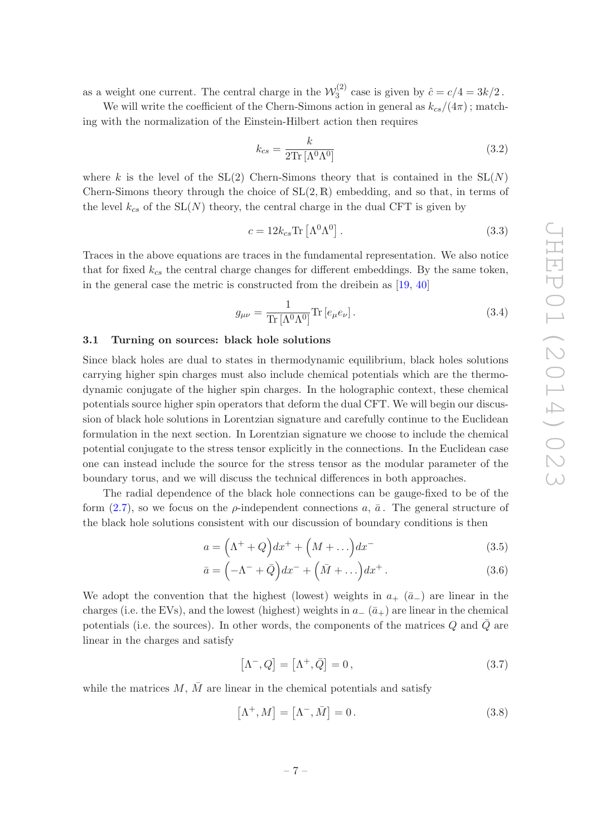as a weight one current. The central charge in the  $\mathcal{W}_3^{(2)}$  $3^{(2)}$  case is given by  $\hat{c} = c/4 = 3k/2$ .

We will write the coefficient of the Chern-Simons action in general as  $k_{cs}/(4\pi)$ ; matching with the normalization of the Einstein-Hilbert action then requires

<span id="page-8-3"></span>
$$
k_{cs} = \frac{k}{2 \text{Tr} \left[ \Lambda^0 \Lambda^0 \right]} \tag{3.2}
$$

where k is the level of the  $SL(2)$  Chern-Simons theory that is contained in the  $SL(N)$ Chern-Simons theory through the choice of  $SL(2, \mathbb{R})$  embedding, and so that, in terms of the level  $k_{cs}$  of the  $SL(N)$  theory, the central charge in the dual CFT is given by

$$
c = 12k_{cs} \text{Tr} \left[ \Lambda^0 \Lambda^0 \right]. \tag{3.3}
$$

Traces in the above equations are traces in the fundamental representation. We also notice that for fixed  $k_{cs}$  the central charge changes for different embeddings. By the same token, in the general case the metric is constructed from the dreibein as [\[19](#page-27-11), [40\]](#page-28-17)

$$
g_{\mu\nu} = \frac{1}{\text{Tr}\left[\Lambda^0 \Lambda^0\right]} \text{Tr}\left[e_\mu e_\nu\right].\tag{3.4}
$$

#### <span id="page-8-0"></span>3.1 Turning on sources: black hole solutions

Since black holes are dual to states in thermodynamic equilibrium, black holes solutions carrying higher spin charges must also include chemical potentials which are the thermodynamic conjugate of the higher spin charges. In the holographic context, these chemical potentials source higher spin operators that deform the dual CFT. We will begin our discussion of black hole solutions in Lorentzian signature and carefully continue to the Euclidean formulation in the next section. In Lorentzian signature we choose to include the chemical potential conjugate to the stress tensor explicitly in the connections. In the Euclidean case one can instead include the source for the stress tensor as the modular parameter of the boundary torus, and we will discuss the technical differences in both approaches.

The radial dependence of the black hole connections can be gauge-fixed to be of the form [\(2.7\)](#page-5-0), so we focus on the  $\rho$ -independent connections a,  $\bar{a}$ . The general structure of the black hole solutions consistent with our discussion of boundary conditions is then

$$
a = \left(\Lambda^+ + Q\right)dx^+ + \left(M + \dots\right)dx^-
$$
\n(3.5)

$$
\bar{a} = \left(-\Lambda^{-} + \bar{Q}\right)dx^{-} + \left(\bar{M} + \ldots\right)dx^{+}.
$$
\n(3.6)

We adopt the convention that the highest (lowest) weights in  $a_+$  ( $\bar{a}_-$ ) are linear in the charges (i.e. the EVs), and the lowest (highest) weights in  $a_{-}(\bar{a}_{+})$  are linear in the chemical potentials (i.e. the sources). In other words, the components of the matrices  $Q$  and  $\overline{Q}$  are linear in the charges and satisfy

<span id="page-8-2"></span><span id="page-8-1"></span>
$$
\left[\Lambda^{-}, Q\right] = \left[\Lambda^{+}, \bar{Q}\right] = 0, \qquad (3.7)
$$

while the matrices  $M, \overline{M}$  are linear in the chemical potentials and satisfy

$$
\left[\Lambda^{+}, M\right] = \left[\Lambda^{-}, \bar{M}\right] = 0. \tag{3.8}
$$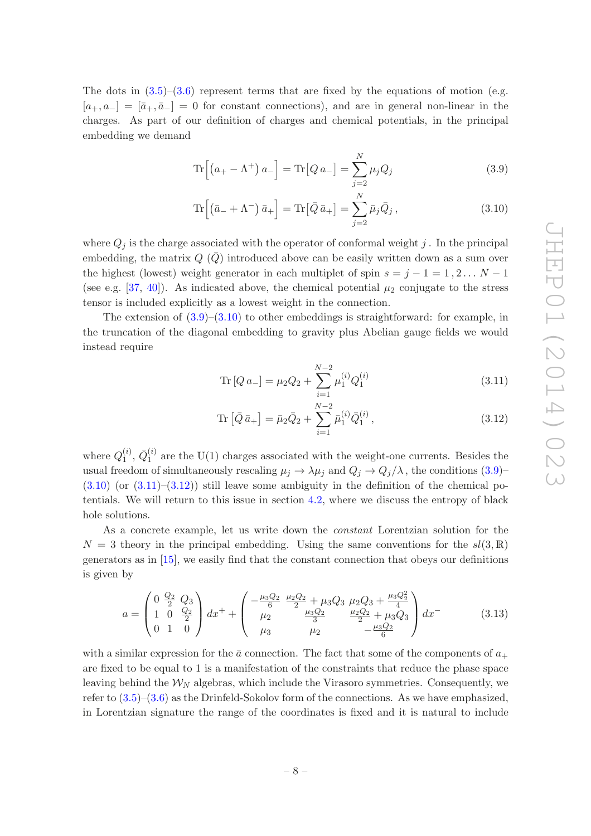The dots in  $(3.5)-(3.6)$  $(3.5)-(3.6)$  represent terms that are fixed by the equations of motion (e.g.  $[a_+, a_-] = [\bar{a}_+, \bar{a}_-] = 0$  for constant connections), and are in general non-linear in the charges. As part of our definition of charges and chemical potentials, in the principal embedding we demand

<span id="page-9-0"></span>
$$
\operatorname{Tr}\left[\left(a_{+}-\Lambda^{+}\right)a_{-}\right]=\operatorname{Tr}\left[Q\,a_{-}\right]=\sum_{j=2}^{N}\mu_{j}Q_{j}\tag{3.9}
$$

<span id="page-9-1"></span>
$$
\operatorname{Tr}\left[\left(\bar{a}_{-}+\Lambda^{-}\right)\bar{a}_{+}\right]=\operatorname{Tr}\left[\bar{Q}\,\bar{a}_{+}\right]=\sum_{j=2}^{N}\bar{\mu}_{j}\bar{Q}_{j},\tag{3.10}
$$

where  $Q_i$  is the charge associated with the operator of conformal weight j. In the principal embedding, the matrix  $Q(\bar{Q})$  introduced above can be easily written down as a sum over the highest (lowest) weight generator in each multiplet of spin  $s = j - 1 = 1, 2, \ldots N - 1$ (see e.g. [\[37](#page-28-14), [40\]](#page-28-17)). As indicated above, the chemical potential  $\mu_2$  conjugate to the stress tensor is included explicitly as a lowest weight in the connection.

The extension of  $(3.9)$ – $(3.10)$  to other embeddings is straightforward: for example, in the truncation of the diagonal embedding to gravity plus Abelian gauge fields we would instead require

<span id="page-9-2"></span>Tr 
$$
[Q a_{-}] = \mu_2 Q_2 + \sum_{i=1}^{N-2} \mu_1^{(i)} Q_1^{(i)}
$$
 (3.11)

<span id="page-9-3"></span>Tr 
$$
[\bar{Q}\bar{a}_{+}] = \bar{\mu}_{2}\bar{Q}_{2} + \sum_{i=1}^{N-2} \bar{\mu}_{1}^{(i)}\bar{Q}_{1}^{(i)},
$$
 (3.12)

where  $Q_1^{(i)}$  $_1^{\left( i \right)},\, \bar{Q}_1^{\left( i \right)}$  $_1^{(i)}$  are the U(1) charges associated with the weight-one currents. Besides the usual freedom of simultaneously rescaling  $\mu_j \to \lambda \mu_j$  and  $Q_j \to Q_j/\lambda$ , the conditions [\(3.9\)](#page-9-0)–  $(3.10)$  (or  $(3.11)$ – $(3.12)$ ) still leave some ambiguity in the definition of the chemical potentials. We will return to this issue in section [4.2,](#page-15-0) where we discuss the entropy of black hole solutions.

As a concrete example, let us write down the *constant* Lorentzian solution for the  $N = 3$  theory in the principal embedding. Using the same conventions for the  $sl(3, \mathbb{R})$ generators as in [\[15](#page-27-9)], we easily find that the constant connection that obeys our definitions is given by

$$
a = \begin{pmatrix} 0 & \frac{Q_2}{2} & Q_3 \\ 1 & 0 & \frac{Q_2}{2} \\ 0 & 1 & 0 \end{pmatrix} dx^{+} + \begin{pmatrix} -\frac{\mu_3 Q_2}{6} & \frac{\mu_2 Q_2}{2} + \mu_3 Q_3 & \mu_2 Q_3 + \frac{\mu_3 Q_2^2}{4} \\ \mu_2 & \frac{\mu_3 Q_2}{3} & \frac{\mu_2 Q_2}{2} + \mu_3 Q_3 \\ \mu_3 & \mu_2 & -\frac{\mu_3 Q_2}{6} \end{pmatrix} dx^{-}
$$
(3.13)

with a similar expression for the  $\bar{a}$  connection. The fact that some of the components of  $a_+$ are fixed to be equal to 1 is a manifestation of the constraints that reduce the phase space leaving behind the  $W_N$  algebras, which include the Virasoro symmetries. Consequently, we refer to  $(3.5)$ – $(3.6)$  as the Drinfeld-Sokolov form of the connections. As we have emphasized, in Lorentzian signature the range of the coordinates is fixed and it is natural to include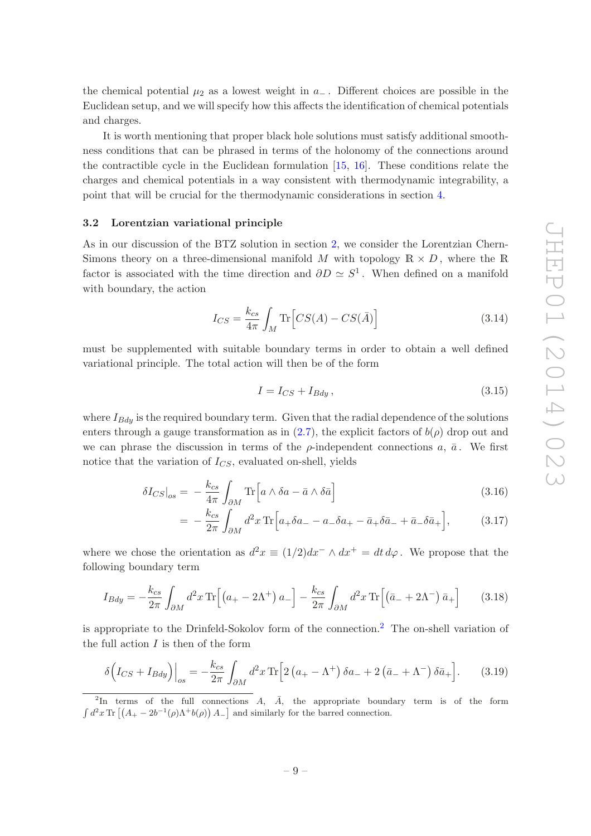the chemical potential  $\mu_2$  as a lowest weight in  $a_-\$ . Different choices are possible in the Euclidean setup, and we will specify how this affects the identification of chemical potentials and charges.

It is worth mentioning that proper black hole solutions must satisfy additional smoothness conditions that can be phrased in terms of the holonomy of the connections around the contractible cycle in the Euclidean formulation [\[15,](#page-27-9) [16](#page-27-17)]. These conditions relate the charges and chemical potentials in a way consistent with thermodynamic integrability, a point that will be crucial for the thermodynamic considerations in section [4.](#page-11-0)

#### <span id="page-10-0"></span>3.2 Lorentzian variational principle

As in our discussion of the BTZ solution in section [2,](#page-4-0) we consider the Lorentzian Chern-Simons theory on a three-dimensional manifold M with topology  $\mathbb{R} \times D$ , where the R factor is associated with the time direction and  $\partial D \simeq S^1$ . When defined on a manifold with boundary, the action

$$
I_{CS} = \frac{k_{cs}}{4\pi} \int_M \text{Tr}\left[CS(A) - CS(\bar{A})\right] \tag{3.14}
$$

must be supplemented with suitable boundary terms in order to obtain a well defined variational principle. The total action will then be of the form

<span id="page-10-4"></span><span id="page-10-3"></span><span id="page-10-2"></span>
$$
I = I_{CS} + I_{Bdy},\tag{3.15}
$$

where  $I_{Bdy}$  is the required boundary term. Given that the radial dependence of the solutions enters through a gauge transformation as in [\(2.7\)](#page-5-0), the explicit factors of  $b(\rho)$  drop out and we can phrase the discussion in terms of the  $\rho$ -independent connections a,  $\bar{a}$ . We first notice that the variation of  $I_{CS}$ , evaluated on-shell, yields

$$
\delta I_{CS}|_{os} = -\frac{k_{cs}}{4\pi} \int_{\partial M} \text{Tr}\left[a \wedge \delta a - \bar{a} \wedge \delta \bar{a}\right]
$$
\n(3.16)

$$
= -\frac{k_{cs}}{2\pi} \int_{\partial M} d^2 x \,\text{Tr}\Big[a_+ \delta a_- - a_- \delta a_+ - \bar{a}_+ \delta \bar{a}_- + \bar{a}_- \delta \bar{a}_+\Big],\tag{3.17}
$$

where we chose the orientation as  $d^2x \equiv (1/2)dx^- \wedge dx^+ = dt d\varphi$ . We propose that the following boundary term

$$
I_{Bdy} = -\frac{k_{cs}}{2\pi} \int_{\partial M} d^2 x \,\text{Tr}\left[ \left( a_+ - 2\Lambda^+ \right) a_- \right] - \frac{k_{cs}}{2\pi} \int_{\partial M} d^2 x \,\text{Tr}\left[ \left( \bar{a}_- + 2\Lambda^- \right) \bar{a}_+ \right] \tag{3.18}
$$

is appropriate to the Drinfeld-Sokolov form of the connection.[2](#page-10-1) The on-shell variation of the full action  $I$  is then of the form

$$
\delta \left( I_{CS} + I_{Bdy} \right) \Big|_{os} = -\frac{k_{cs}}{2\pi} \int_{\partial M} d^2 x \,\mathrm{Tr} \Big[ 2 \left( a_+ - \Lambda^+ \right) \delta a_- + 2 \left( \bar{a}_- + \Lambda^- \right) \delta \bar{a}_+ \Big]. \tag{3.19}
$$

<span id="page-10-1"></span><sup>&</sup>lt;sup>2</sup>In terms of the full connections  $A$ ,  $\overline{A}$ , the appropriate boundary term is of the form  $\int d^2x \, \text{Tr} \left[ \left( A_+ - 2b^{-1}(\rho) \Lambda^+ b(\rho) \right) A_- \right]$  and similarly for the barred connection.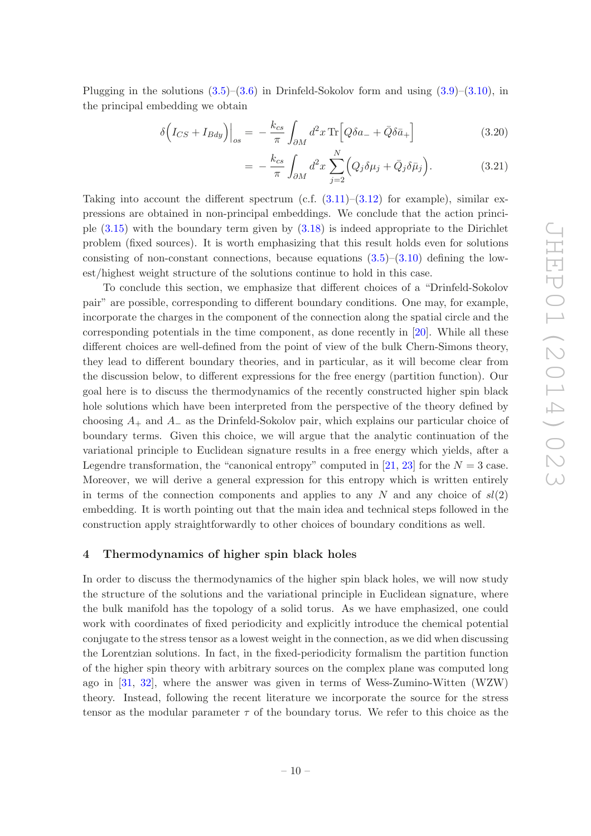Plugging in the solutions  $(3.5)$ – $(3.6)$  in Drinfeld-Sokolov form and using  $(3.9)$ – $(3.10)$ , in the principal embedding we obtain

$$
\delta \left( I_{CS} + I_{Bdy} \right) \Big|_{os} = -\frac{k_{cs}}{\pi} \int_{\partial M} d^2 x \operatorname{Tr} \Big[ Q \delta a_- + \bar{Q} \delta \bar{a}_+ \Big] \tag{3.20}
$$

$$
= -\frac{k_{cs}}{\pi} \int_{\partial M} d^2 x \sum_{j=2}^N \Big( Q_j \delta \mu_j + \bar{Q}_j \delta \bar{\mu}_j \Big). \tag{3.21}
$$

Taking into account the different spectrum (c.f.  $(3.11)$ – $(3.12)$ ) for example), similar expressions are obtained in non-principal embeddings. We conclude that the action principle [\(3.15\)](#page-10-2) with the boundary term given by [\(3.18\)](#page-10-3) is indeed appropriate to the Dirichlet problem (fixed sources). It is worth emphasizing that this result holds even for solutions consisting of non-constant connections, because equations  $(3.5)$ – $(3.10)$  defining the lowest/highest weight structure of the solutions continue to hold in this case.

To conclude this section, we emphasize that different choices of a "Drinfeld-Sokolov pair" are possible, corresponding to different boundary conditions. One may, for example, incorporate the charges in the component of the connection along the spatial circle and the corresponding potentials in the time component, as done recently in [\[20\]](#page-27-12). While all these different choices are well-defined from the point of view of the bulk Chern-Simons theory, they lead to different boundary theories, and in particular, as it will become clear from the discussion below, to different expressions for the free energy (partition function). Our goal here is to discuss the thermodynamics of the recently constructed higher spin black hole solutions which have been interpreted from the perspective of the theory defined by choosing  $A_+$  and  $A_-$  as the Drinfeld-Sokolov pair, which explains our particular choice of boundary terms. Given this choice, we will argue that the analytic continuation of the variational principle to Euclidean signature results in a free energy which yields, after a Legendre transformation, the "canonical entropy" computed in [\[21,](#page-27-13) [23\]](#page-28-0) for the  $N = 3$  case. Moreover, we will derive a general expression for this entropy which is written entirely in terms of the connection components and applies to any N and any choice of  $sl(2)$ embedding. It is worth pointing out that the main idea and technical steps followed in the construction apply straightforwardly to other choices of boundary conditions as well.

#### <span id="page-11-0"></span>4 Thermodynamics of higher spin black holes

In order to discuss the thermodynamics of the higher spin black holes, we will now study the structure of the solutions and the variational principle in Euclidean signature, where the bulk manifold has the topology of a solid torus. As we have emphasized, one could work with coordinates of fixed periodicity and explicitly introduce the chemical potential conjugate to the stress tensor as a lowest weight in the connection, as we did when discussing the Lorentzian solutions. In fact, in the fixed-periodicity formalism the partition function of the higher spin theory with arbitrary sources on the complex plane was computed long ago in [\[31](#page-28-8), [32](#page-28-9)], where the answer was given in terms of Wess-Zumino-Witten (WZW) theory. Instead, following the recent literature we incorporate the source for the stress tensor as the modular parameter  $\tau$  of the boundary torus. We refer to this choice as the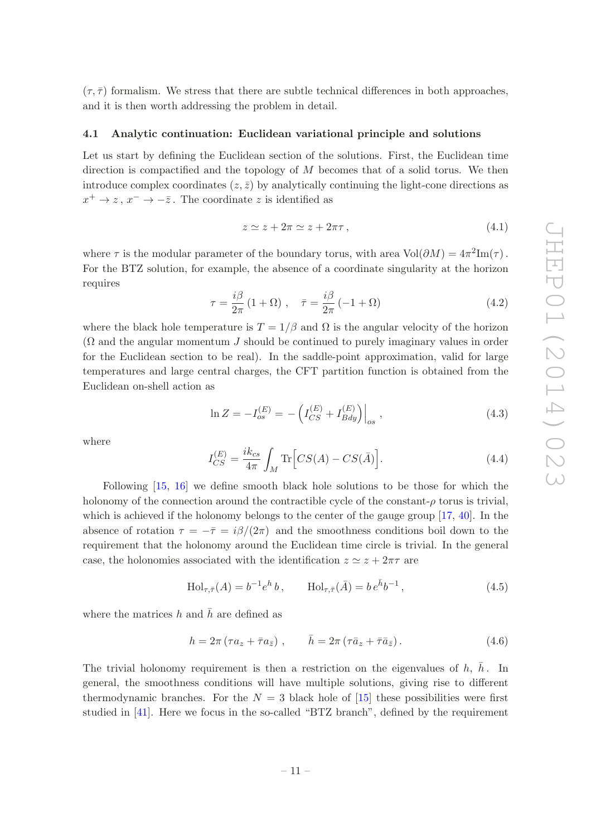$(\tau, \overline{\tau})$  formalism. We stress that there are subtle technical differences in both approaches, and it is then worth addressing the problem in detail.

#### <span id="page-12-0"></span>4.1 Analytic continuation: Euclidean variational principle and solutions

Let us start by defining the Euclidean section of the solutions. First, the Euclidean time direction is compactified and the topology of  $M$  becomes that of a solid torus. We then introduce complex coordinates  $(z, \bar{z})$  by analytically continuing the light-cone directions as  $x^+ \to z$ ,  $x^- \to -\overline{z}$ . The coordinate z is identified as

$$
z \simeq z + 2\pi \simeq z + 2\pi\tau \,,\tag{4.1}
$$

where  $\tau$  is the modular parameter of the boundary torus, with area  $Vol(\partial M) = 4\pi^2 Im(\tau)$ . For the BTZ solution, for example, the absence of a coordinate singularity at the horizon requires

$$
\tau = \frac{i\beta}{2\pi} \left( 1 + \Omega \right) , \quad \bar{\tau} = \frac{i\beta}{2\pi} \left( -1 + \Omega \right) \tag{4.2}
$$

where the black hole temperature is  $T = 1/\beta$  and  $\Omega$  is the angular velocity of the horizon  $(\Omega$  and the angular momentum J should be continued to purely imaginary values in order for the Euclidean section to be real). In the saddle-point approximation, valid for large temperatures and large central charges, the CFT partition function is obtained from the Euclidean on-shell action as

$$
\ln Z = -I_{os}^{(E)} = -\left(I_{CS}^{(E)} + I_{Bdy}^{(E)}\right)\Big|_{os} ,\qquad (4.3)
$$

where

<span id="page-12-1"></span>
$$
I_{CS}^{(E)} = \frac{ik_{cs}}{4\pi} \int_M \text{Tr}\left[ CS(A) - CS(\bar{A})\right].\tag{4.4}
$$

Following [\[15,](#page-27-9) [16\]](#page-27-17) we define smooth black hole solutions to be those for which the holonomy of the connection around the contractible cycle of the constant- $\rho$  torus is trivial, which is achieved if the holonomy belongs to the center of the gauge group [\[17](#page-27-19), [40\]](#page-28-17). In the absence of rotation  $\tau = -\bar{\tau} = i\beta/(2\pi)$  and the smoothness conditions boil down to the requirement that the holonomy around the Euclidean time circle is trivial. In the general case, the holonomies associated with the identification  $z \approx z + 2\pi\tau$  are

$$
\text{Hol}_{\tau,\bar{\tau}}(A) = b^{-1}e^{h}b, \qquad \text{Hol}_{\tau,\bar{\tau}}(\bar{A}) = b e^{\bar{h}}b^{-1}, \qquad (4.5)
$$

where the matrices h and  $\bar{h}$  are defined as

$$
h = 2\pi \left(\tau a_z + \bar{\tau} a_{\bar{z}}\right), \qquad \bar{h} = 2\pi \left(\tau \bar{a}_z + \bar{\tau} \bar{a}_{\bar{z}}\right). \tag{4.6}
$$

The trivial holonomy requirement is then a restriction on the eigenvalues of  $h$ ,  $\bar{h}$ . In general, the smoothness conditions will have multiple solutions, giving rise to different thermodynamic branches. For the  $N = 3$  black hole of [\[15](#page-27-9)] these possibilities were first studied in [\[41\]](#page-28-18). Here we focus in the so-called "BTZ branch", defined by the requirement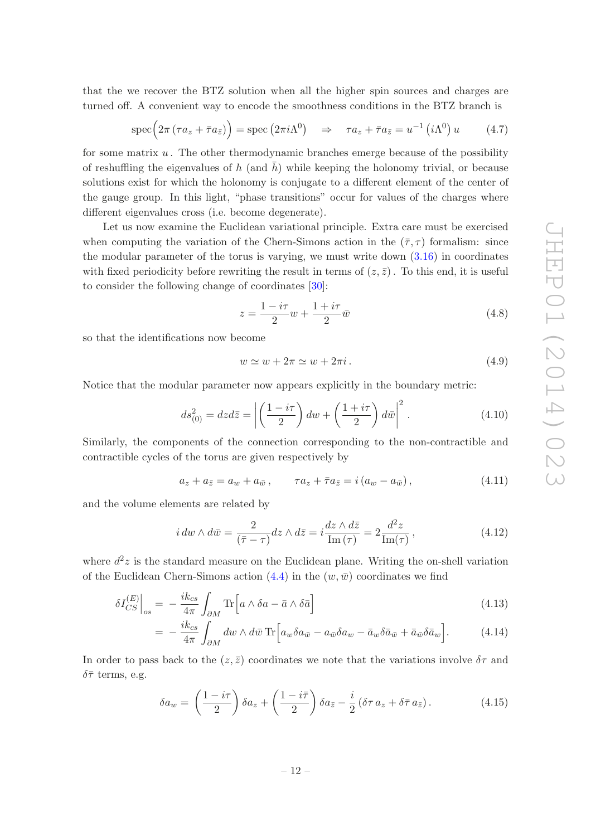that the we recover the BTZ solution when all the higher spin sources and charges are turned off. A convenient way to encode the smoothness conditions in the BTZ branch is

<span id="page-13-1"></span>
$$
\operatorname{spec}\Big(2\pi\left(\tau a_z + \bar{\tau} a_{\bar{z}}\right)\Big) = \operatorname{spec}\left(2\pi i \Lambda^0\right) \quad \Rightarrow \quad \tau a_z + \bar{\tau} a_{\bar{z}} = u^{-1}\left(i\Lambda^0\right)u \tag{4.7}
$$

for some matrix  $u$ . The other thermodynamic branches emerge because of the possibility of reshuffling the eigenvalues of h (and  $\bar{h}$ ) while keeping the holonomy trivial, or because solutions exist for which the holonomy is conjugate to a different element of the center of the gauge group. In this light, "phase transitions" occur for values of the charges where different eigenvalues cross (i.e. become degenerate).

Let us now examine the Euclidean variational principle. Extra care must be exercised when computing the variation of the Chern-Simons action in the  $(\bar{\tau}, \tau)$  formalism: since the modular parameter of the torus is varying, we must write down  $(3.16)$  in coordinates with fixed periodicity before rewriting the result in terms of  $(z, \bar{z})$ . To this end, it is useful to consider the following change of coordinates [\[30](#page-28-7)]:

$$
z = \frac{1 - i\tau}{2}w + \frac{1 + i\tau}{2}\bar{w}
$$
\n
$$
\tag{4.8}
$$

so that the identifications now become

$$
w \simeq w + 2\pi \simeq w + 2\pi i. \tag{4.9}
$$

Notice that the modular parameter now appears explicitly in the boundary metric:

$$
ds_{(0)}^2 = dz d\bar{z} = \left| \left( \frac{1 - i\tau}{2} \right) dw + \left( \frac{1 + i\tau}{2} \right) d\bar{w} \right|^2.
$$
 (4.10)

Similarly, the components of the connection corresponding to the non-contractible and contractible cycles of the torus are given respectively by

$$
a_z + a_{\bar{z}} = a_w + a_{\bar{w}}, \qquad \tau a_z + \bar{\tau} a_{\bar{z}} = i \left( a_w - a_{\bar{w}} \right), \tag{4.11}
$$

and the volume elements are related by

<span id="page-13-0"></span>
$$
i \, dw \wedge d\bar{w} = \frac{2}{(\bar{\tau} - \tau)} dz \wedge d\bar{z} = i \frac{dz \wedge d\bar{z}}{\text{Im}(\tau)} = 2 \frac{d^2 z}{\text{Im}(\tau)},\tag{4.12}
$$

where  $d^2z$  is the standard measure on the Euclidean plane. Writing the on-shell variation of the Euclidean Chern-Simons action  $(4.4)$  in the  $(w,\bar{w})$  coordinates we find

$$
\delta I_{CS}^{(E)}\Big|_{os} = -\frac{i k_{cs}}{4\pi} \int_{\partial M} \text{Tr}\Big[a \wedge \delta a - \bar{a} \wedge \delta \bar{a}\Big]
$$
\n(4.13)

$$
= -\frac{ik_{cs}}{4\pi} \int_{\partial M} dw \wedge d\bar{w} \operatorname{Tr} \Big[ a_w \delta a_{\bar{w}} - a_{\bar{w}} \delta a_w - \bar{a}_w \delta \bar{a}_{\bar{w}} + \bar{a}_{\bar{w}} \delta \bar{a}_w \Big]. \tag{4.14}
$$

In order to pass back to the  $(z, \bar{z})$  coordinates we note that the variations involve  $\delta \tau$  and  $\delta\bar{\tau}$  terms, e.g.

$$
\delta a_w = \left(\frac{1 - i\tau}{2}\right) \delta a_z + \left(\frac{1 - i\bar{\tau}}{2}\right) \delta a_{\bar{z}} - \frac{i}{2} \left(\delta \tau a_z + \delta \bar{\tau} a_{\bar{z}}\right). \tag{4.15}
$$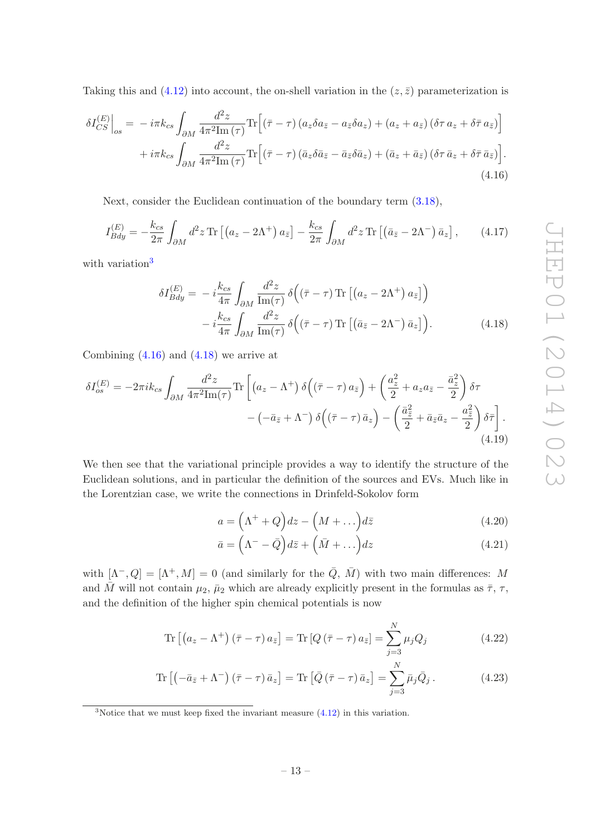Taking this and [\(4.12\)](#page-13-0) into account, the on-shell variation in the  $(z, \bar{z})$  parameterization is

$$
\delta I_{CS}^{(E)}\Big|_{os} = -i\pi k_{cs} \int_{\partial M} \frac{d^2 z}{4\pi^2 \text{Im}(\tau)} \text{Tr}\Big[ (\bar{\tau} - \tau) \left( a_z \delta a_{\bar{z}} - a_{\bar{z}} \delta a_z \right) + \left( a_z + a_{\bar{z}} \right) \left( \delta \tau a_z + \delta \bar{\tau} a_{\bar{z}} \right) \Big] + i\pi k_{cs} \int_{\partial M} \frac{d^2 z}{4\pi^2 \text{Im}(\tau)} \text{Tr}\Big[ (\bar{\tau} - \tau) \left( \bar{a}_z \delta \bar{a}_{\bar{z}} - \bar{a}_{\bar{z}} \delta \bar{a}_z \right) + \left( \bar{a}_z + \bar{a}_{\bar{z}} \right) \left( \delta \tau \bar{a}_z + \delta \bar{\tau} \bar{a}_{\bar{z}} \right) \Big].
$$
\n(4.16)

Next, consider the Euclidean continuation of the boundary term [\(3.18\)](#page-10-3),

<span id="page-14-7"></span>
$$
I_{Bdy}^{(E)} = -\frac{k_{cs}}{2\pi} \int_{\partial M} d^2 z \,\mathrm{Tr} \left[ \left( a_z - 2\Lambda^+ \right) a_{\bar{z}} \right] - \frac{k_{cs}}{2\pi} \int_{\partial M} d^2 z \,\mathrm{Tr} \left[ \left( \bar{a}_{\bar{z}} - 2\Lambda^- \right) \bar{a}_z \right],\tag{4.17}
$$

with variation<sup>[3](#page-14-0)</sup>

<span id="page-14-1"></span>
$$
\delta I_{Bdy}^{(E)} = -i \frac{k_{cs}}{4\pi} \int_{\partial M} \frac{d^2 z}{\text{Im}(\tau)} \delta \left( (\bar{\tau} - \tau) \text{Tr} \left[ \left( a_z - 2\Lambda^+ \right) a_{\bar{z}} \right] \right) - i \frac{k_{cs}}{4\pi} \int_{\partial M} \frac{d^2 z}{\text{Im}(\tau)} \delta \left( (\bar{\tau} - \tau) \text{Tr} \left[ \left( \bar{a}_{\bar{z}} - 2\Lambda^- \right) \bar{a}_z \right] \right).
$$
 (4.18)

Combining [\(4.16\)](#page-14-1) and [\(4.18\)](#page-14-2) we arrive at

$$
\delta I_{os}^{(E)} = -2\pi i k_{cs} \int_{\partial M} \frac{d^2 z}{4\pi^2 \text{Im}(\tau)} \text{Tr} \left[ \left( a_z - \Lambda^+ \right) \delta \left( \left( \bar{\tau} - \tau \right) a_{\bar{z}} \right) + \left( \frac{a_z^2}{2} + a_z a_{\bar{z}} - \frac{\bar{a}_z^2}{2} \right) \delta \tau \right. \\ \left. - \left( -\bar{a}_{\bar{z}} + \Lambda^- \right) \delta \left( \left( \bar{\tau} - \tau \right) \bar{a}_z \right) - \left( \frac{\bar{a}_z^2}{2} + \bar{a}_{\bar{z}} \bar{a}_z - \frac{a_{\bar{z}}^2}{2} \right) \delta \bar{\tau} \right]. \tag{4.19}
$$

We then see that the variational principle provides a way to identify the structure of the Euclidean solutions, and in particular the definition of the sources and EVs. Much like in the Lorentzian case, we write the connections in Drinfeld-Sokolov form

$$
a = \left(\Lambda^+ + Q\right)dz - \left(M + \dots\right)d\bar{z} \tag{4.20}
$$

$$
\bar{a} = \left(\Lambda^- - \bar{Q}\right) d\bar{z} + \left(\bar{M} + \ldots\right) dz \tag{4.21}
$$

<span id="page-14-6"></span><span id="page-14-5"></span><span id="page-14-4"></span><span id="page-14-3"></span><span id="page-14-2"></span> $\ddotsc$ 

with  $[\Lambda^-, Q] = [\Lambda^+, M] = 0$  (and similarly for the  $\overline{Q}, \overline{M}$ ) with two main differences: M and M will not contain  $\mu_2$ ,  $\bar{\mu}_2$  which are already explicitly present in the formulas as  $\bar{\tau}$ ,  $\tau$ , and the definition of the higher spin chemical potentials is now

$$
\operatorname{Tr}\left[\left(a_{z}-\Lambda^{+}\right)\left(\bar{\tau}-\tau\right)a_{\bar{z}}\right] = \operatorname{Tr}\left[Q\left(\bar{\tau}-\tau\right)a_{\bar{z}}\right] = \sum_{j=3}^{N} \mu_{j} Q_{j}
$$
\n(4.22)

$$
\operatorname{Tr}\left[\left(-\bar{a}_{\bar{z}} + \Lambda^{-}\right)\left(\bar{\tau} - \tau\right)\bar{a}_{z}\right] = \operatorname{Tr}\left[\bar{Q}\left(\bar{\tau} - \tau\right)\bar{a}_{z}\right] = \sum_{j=3}^{N} \bar{\mu}_{j} \bar{Q}_{j} . \tag{4.23}
$$

<span id="page-14-0"></span> $3$ Notice that we must keep fixed the invariant measure  $(4.12)$  in this variation.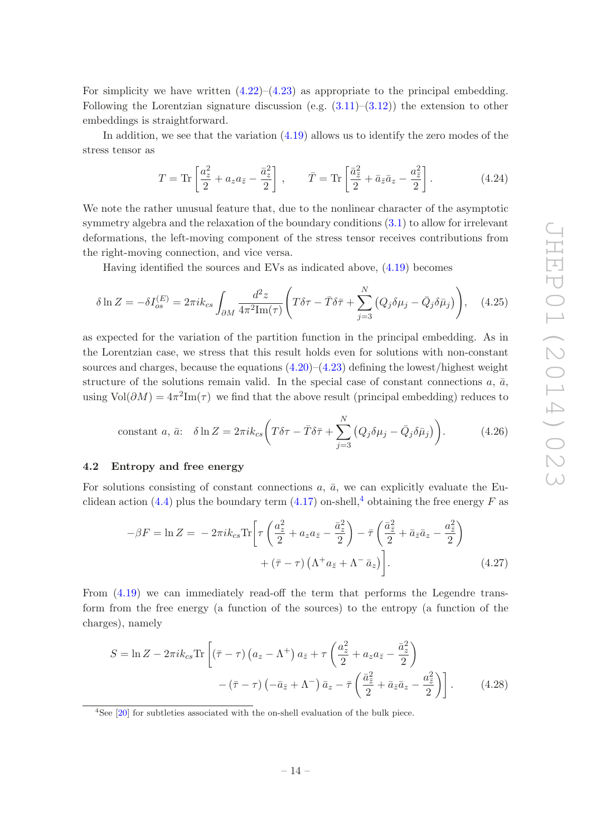For simplicity we have written  $(4.22)$ – $(4.23)$  as appropriate to the principal embedding. Following the Lorentzian signature discussion (e.g.  $(3.11)$ – $(3.12)$ ) the extension to other embeddings is straightforward.

In addition, we see that the variation [\(4.19\)](#page-14-5) allows us to identify the zero modes of the stress tensor as

<span id="page-15-4"></span>
$$
T = \text{Tr}\left[\frac{a_z^2}{2} + a_z a_{\bar{z}} - \frac{\bar{a}_z^2}{2}\right], \qquad \bar{T} = \text{Tr}\left[\frac{\bar{a}_{\bar{z}}^2}{2} + \bar{a}_{\bar{z}} \bar{a}_z - \frac{a_{\bar{z}}^2}{2}\right].\tag{4.24}
$$

We note the rather unusual feature that, due to the nonlinear character of the asymptotic symmetry algebra and the relaxation of the boundary conditions [\(3.1\)](#page-6-1) to allow for irrelevant deformations, the left-moving component of the stress tensor receives contributions from the right-moving connection, and vice versa.

Having identified the sources and EVs as indicated above, [\(4.19\)](#page-14-5) becomes

$$
\delta \ln Z = -\delta I_{os}^{(E)} = 2\pi i k_{cs} \int_{\partial M} \frac{d^2 z}{4\pi^2 \text{Im}(\tau)} \left( T\delta \tau - \bar{T} \delta \bar{\tau} + \sum_{j=3}^N \left( Q_j \delta \mu_j - \bar{Q}_j \delta \bar{\mu}_j \right) \right), \quad (4.25)
$$

as expected for the variation of the partition function in the principal embedding. As in the Lorentzian case, we stress that this result holds even for solutions with non-constant sources and charges, because the equations  $(4.20)$ – $(4.23)$  defining the lowest/highest weight structure of the solutions remain valid. In the special case of constant connections  $a, \bar{a}$ , using  $Vol(\partial M) = 4\pi^2 Im(\tau)$  we find that the above result (principal embedding) reduces to

<span id="page-15-3"></span>constant *a*, 
$$
\bar{a}
$$
:  $\delta \ln Z = 2\pi i k_{cs} \left( T \delta \tau - \bar{T} \delta \bar{\tau} + \sum_{j=3}^{N} \left( Q_j \delta \mu_j - \bar{Q}_j \delta \bar{\mu}_j \right) \right)$ . (4.26)

#### <span id="page-15-0"></span>4.2 Entropy and free energy

For solutions consisting of constant connections  $a, \bar{a}$ , we can explicitly evaluate the Eu-clidean action [\(4.4\)](#page-12-1) plus the boundary term [\(4.17\)](#page-14-7) on-shell,<sup>[4](#page-15-1)</sup> obtaining the free energy F as

<span id="page-15-2"></span>
$$
-\beta F = \ln Z = -2\pi i k_{cs} \text{Tr} \left[ \tau \left( \frac{a_z^2}{2} + a_z a_{\bar{z}} - \frac{\bar{a}_z^2}{2} \right) - \bar{\tau} \left( \frac{\bar{a}_z^2}{2} + \bar{a}_{\bar{z}} \bar{a}_z - \frac{a_z^2}{2} \right) \right. \\
\left. + (\bar{\tau} - \tau) \left( \Lambda^+ a_{\bar{z}} + \Lambda^- \bar{a}_z \right) \right].\n\tag{4.27}
$$

From [\(4.19\)](#page-14-5) we can immediately read-off the term that performs the Legendre transform from the free energy (a function of the sources) to the entropy (a function of the charges), namely

$$
S = \ln Z - 2\pi i k_{cs} \text{Tr} \left[ \left( \bar{\tau} - \tau \right) \left( a_z - \Lambda^+ \right) a_{\bar{z}} + \tau \left( \frac{a_z^2}{2} + a_z a_{\bar{z}} - \frac{\bar{a}_z^2}{2} \right) - \left( \bar{\tau} - \tau \right) \left( -\bar{a}_{\bar{z}} + \Lambda^- \right) \bar{a}_z - \bar{\tau} \left( \frac{\bar{a}_z^2}{2} + \bar{a}_{\bar{z}} \bar{a}_z - \frac{a_z^2}{2} \right) \right]. \tag{4.28}
$$

<span id="page-15-1"></span><sup>&</sup>lt;sup>4</sup>See [\[20](#page-27-12)] for subtleties associated with the on-shell evaluation of the bulk piece.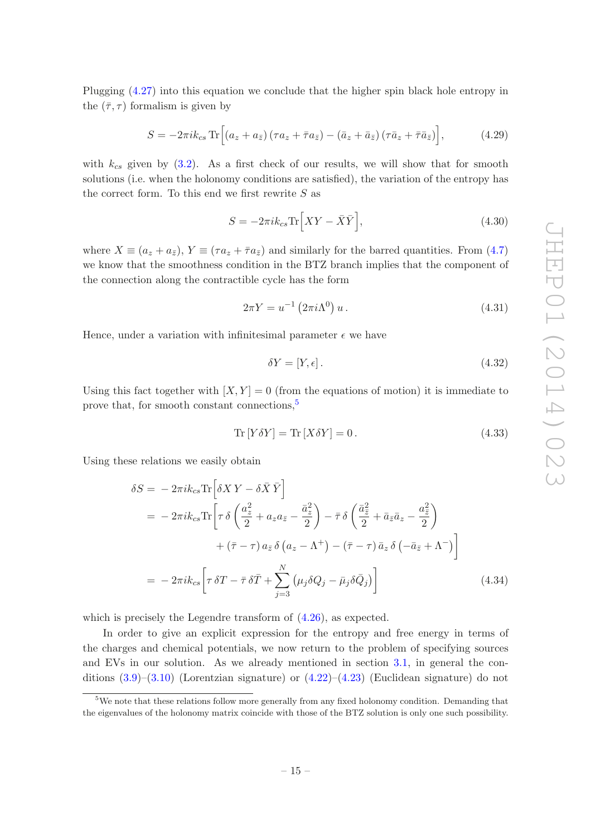Plugging [\(4.27\)](#page-15-2) into this equation we conclude that the higher spin black hole entropy in the  $(\bar{\tau}, \tau)$  formalism is given by

<span id="page-16-1"></span>
$$
S = -2\pi i k_{cs} \operatorname{Tr} \left[ \left( a_z + a_{\bar{z}} \right) \left( \tau a_z + \bar{\tau} a_{\bar{z}} \right) - \left( \bar{a}_z + \bar{a}_{\bar{z}} \right) \left( \tau \bar{a}_z + \bar{\tau} \bar{a}_{\bar{z}} \right) \right],\tag{4.29}
$$

with  $k_{cs}$  given by [\(3.2\)](#page-8-3). As a first check of our results, we will show that for smooth solutions (i.e. when the holonomy conditions are satisfied), the variation of the entropy has the correct form. To this end we first rewrite  $S$  as

<span id="page-16-3"></span>
$$
S = -2\pi i k_{cs} \text{Tr} \left[ XY - \bar{X}\bar{Y} \right],\tag{4.30}
$$

where  $X \equiv (a_z + a_{\bar{z}}), Y \equiv (\tau a_z + \bar{\tau} a_{\bar{z}})$  and similarly for the barred quantities. From [\(4.7\)](#page-13-1) we know that the smoothness condition in the BTZ branch implies that the component of the connection along the contractible cycle has the form

<span id="page-16-2"></span>
$$
2\pi Y = u^{-1} (2\pi i \Lambda^0) u. \tag{4.31}
$$

Hence, under a variation with infinitesimal parameter  $\epsilon$  we have

$$
\delta Y = [Y, \epsilon]. \tag{4.32}
$$

Using this fact together with  $[X, Y] = 0$  (from the equations of motion) it is immediate to prove that, for smooth constant connections,<sup>[5](#page-16-0)</sup>

<span id="page-16-4"></span>
$$
\operatorname{Tr}\left[Y\delta Y\right] = \operatorname{Tr}\left[X\delta Y\right] = 0.\tag{4.33}
$$

Using these relations we easily obtain

$$
\delta S = -2\pi i k_{cs} \text{Tr} \left[ \delta X Y - \delta \bar{X} \bar{Y} \right]
$$
  
=  $-2\pi i k_{cs} \text{Tr} \left[ \tau \delta \left( \frac{a_z^2}{2} + a_z a_{\bar{z}} - \frac{\bar{a}_z^2}{2} \right) - \bar{\tau} \delta \left( \frac{\bar{a}_z^2}{2} + \bar{a}_z \bar{a}_z - \frac{a_z^2}{2} \right) \right.$   

$$
+ (\bar{\tau} - \tau) a_{\bar{z}} \delta (a_z - \Lambda^+) - (\bar{\tau} - \tau) \bar{a}_z \delta (-\bar{a}_{\bar{z}} + \Lambda^-) \right]
$$
  
=  $-2\pi i k_{cs} \left[ \tau \delta T - \bar{\tau} \delta \bar{T} + \sum_{j=3}^N (\mu_j \delta Q_j - \bar{\mu}_j \delta \bar{Q}_j) \right]$ (4.34)

which is precisely the Legendre transform of  $(4.26)$ , as expected.

In order to give an explicit expression for the entropy and free energy in terms of the charges and chemical potentials, we now return to the problem of specifying sources and EVs in our solution. As we already mentioned in section [3.1,](#page-8-0) in general the conditions  $(3.9)$ – $(3.10)$  (Lorentzian signature) or  $(4.22)$ – $(4.23)$  (Euclidean signature) do not

<span id="page-16-0"></span><sup>&</sup>lt;sup>5</sup>We note that these relations follow more generally from any fixed holonomy condition. Demanding that the eigenvalues of the holonomy matrix coincide with those of the BTZ solution is only one such possibility.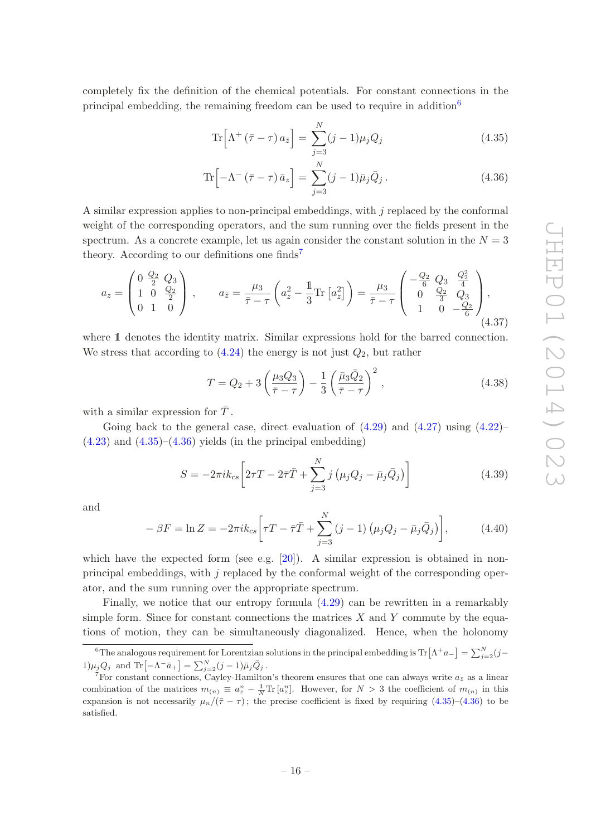completely fix the definition of the chemical potentials. For constant connections in the principal embedding, the remaining freedom can be used to require in addition<sup>[6](#page-17-0)</sup>

<span id="page-17-3"></span><span id="page-17-2"></span>
$$
\operatorname{Tr}\left[\Lambda^{+}\left(\bar{\tau}-\tau\right)a_{\bar{z}}\right] = \sum_{j=3}^{N}(j-1)\mu_{j}Q_{j}
$$
\n(4.35)

$$
\operatorname{Tr}\left[-\Lambda^{-}\left(\bar{\tau}-\tau\right)\bar{a}_{z}\right]=\sum_{j=3}^{N}(j-1)\bar{\mu}_{j}\bar{Q}_{j}.
$$
\n(4.36)

A similar expression applies to non-principal embeddings, with  $j$  replaced by the conformal weight of the corresponding operators, and the sum running over the fields present in the spectrum. As a concrete example, let us again consider the constant solution in the  $N = 3$ theory. According to our definitions one finds<sup>[7](#page-17-1)</sup>

$$
a_{z} = \begin{pmatrix} 0 & \frac{Q_{2}}{2} & Q_{3} \\ 1 & 0 & \frac{Q_{2}}{2} \\ 0 & 1 & 0 \end{pmatrix}, \qquad a_{\bar{z}} = \frac{\mu_{3}}{\bar{\tau} - \tau} \left( a_{z}^{2} - \frac{1}{3} \text{Tr} \left[ a_{z}^{2} \right] \right) = \frac{\mu_{3}}{\bar{\tau} - \tau} \begin{pmatrix} -\frac{Q_{2}}{6} & Q_{3} & \frac{Q_{2}^{2}}{4} \\ 0 & \frac{Q_{2}}{3} & Q_{3} \\ 1 & 0 & -\frac{Q_{2}}{6} \end{pmatrix},
$$
\n
$$
(4.37)
$$

where 1 denotes the identity matrix. Similar expressions hold for the barred connection. We stress that according to  $(4.24)$  the energy is not just  $Q_2$ , but rather

$$
T = Q_2 + 3\left(\frac{\mu_3 Q_3}{\bar{\tau} - \tau}\right) - \frac{1}{3}\left(\frac{\bar{\mu}_3 \bar{Q}_2}{\bar{\tau} - \tau}\right)^2, \qquad (4.38)
$$

with a similar expression for  $\bar{T}$ .

Going back to the general case, direct evaluation of  $(4.29)$  and  $(4.27)$  using  $(4.22)$ –  $(4.23)$  and  $(4.35)$ – $(4.36)$  yields (in the principal embedding)

$$
S = -2\pi i k_{cs} \left[ 2\tau T - 2\bar{\tau}\bar{T} + \sum_{j=3}^{N} j\left(\mu_j Q_j - \bar{\mu}_j \bar{Q}_j\right) \right]
$$
(4.39)

and

$$
-\beta F = \ln Z = -2\pi i k_{cs} \bigg[ \tau T - \bar{\tau} \bar{T} + \sum_{j=3}^{N} (j-1) \left( \mu_j Q_j - \bar{\mu}_j \bar{Q}_j \right) \bigg],
$$
(4.40)

which have the expected form (see e.g.  $[20]$ ). A similar expression is obtained in nonprincipal embeddings, with  $j$  replaced by the conformal weight of the corresponding operator, and the sum running over the appropriate spectrum.

Finally, we notice that our entropy formula [\(4.29\)](#page-16-1) can be rewritten in a remarkably simple form. Since for constant connections the matrices  $X$  and  $Y$  commute by the equations of motion, they can be simultaneously diagonalized. Hence, when the holonomy

<span id="page-17-0"></span><sup>&</sup>lt;sup>6</sup>The analogous requirement for Lorentzian solutions in the principal embedding is  $\text{Tr}\left[\Lambda^{+}a_{-}\right]=\sum_{j=2}^{N}(j-\Lambda)^{2}$ 1) $\mu_j Q_j$  and Tr $[-\Lambda^- \bar{a}_+] = \sum_{j=2}^N (j-1) \bar{\mu}_j \bar{Q}_j$ .

<span id="page-17-1"></span><sup>&</sup>lt;sup>7</sup>For constant connections, Cayley-Hamilton's theorem ensures that one can always write  $a_{\bar{z}}$  as a linear combination of the matrices  $m_{(n)} \equiv a_z^n - \frac{1}{N} \text{Tr} [a_z^n]$ . However, for  $N > 3$  the coefficient of  $m_{(n)}$  in this expansion is not necessarily  $\mu_n/(\bar{\tau}-\tau)$ ; the precise coefficient is fixed by requiring [\(4.35\)](#page-17-2)–[\(4.36\)](#page-17-3) to be satisfied.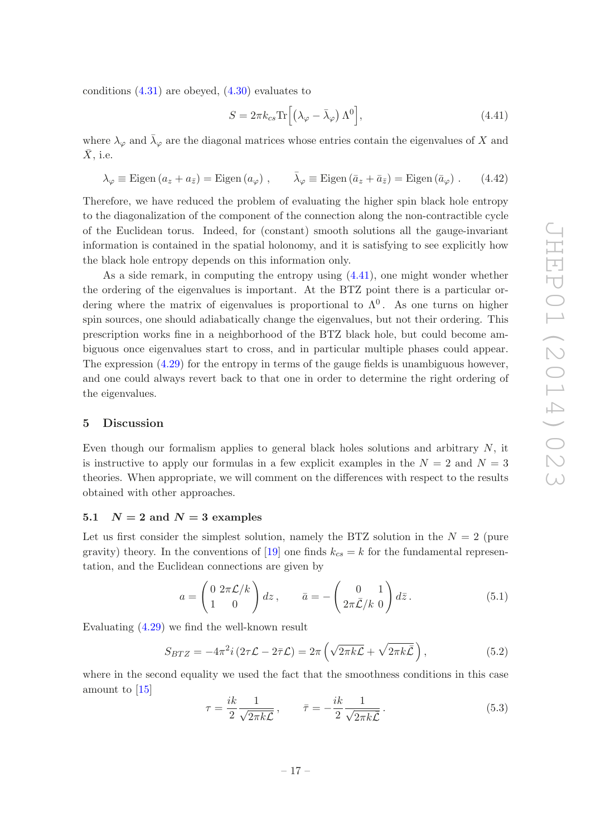conditions  $(4.31)$  are obeyed,  $(4.30)$  evaluates to

<span id="page-18-2"></span>
$$
S = 2\pi k_{cs} \text{Tr} \left[ \left( \lambda_{\varphi} - \bar{\lambda}_{\varphi} \right) \Lambda^0 \right], \tag{4.41}
$$

where  $\lambda_{\varphi}$  and  $\bar{\lambda}_{\varphi}$  are the diagonal matrices whose entries contain the eigenvalues of X and  $X$ , i.e.

$$
\lambda_{\varphi} \equiv \text{Eigen} \left( a_z + a_{\bar{z}} \right) = \text{Eigen} \left( a_{\varphi} \right) , \qquad \bar{\lambda}_{\varphi} \equiv \text{Eigen} \left( \bar{a}_z + \bar{a}_{\bar{z}} \right) = \text{Eigen} \left( \bar{a}_{\varphi} \right) . \tag{4.42}
$$

Therefore, we have reduced the problem of evaluating the higher spin black hole entropy to the diagonalization of the component of the connection along the non-contractible cycle of the Euclidean torus. Indeed, for (constant) smooth solutions all the gauge-invariant information is contained in the spatial holonomy, and it is satisfying to see explicitly how the black hole entropy depends on this information only.

As a side remark, in computing the entropy using [\(4.41\)](#page-18-2), one might wonder whether the ordering of the eigenvalues is important. At the BTZ point there is a particular ordering where the matrix of eigenvalues is proportional to  $\Lambda^0$ . As one turns on higher spin sources, one should adiabatically change the eigenvalues, but not their ordering. This prescription works fine in a neighborhood of the BTZ black hole, but could become ambiguous once eigenvalues start to cross, and in particular multiple phases could appear. The expression  $(4.29)$  for the entropy in terms of the gauge fields is unambiguous however, and one could always revert back to that one in order to determine the right ordering of the eigenvalues.

#### <span id="page-18-0"></span>5 Discussion

Even though our formalism applies to general black holes solutions and arbitrary  $N$ , it is instructive to apply our formulas in a few explicit examples in the  $N = 2$  and  $N = 3$ theories. When appropriate, we will comment on the differences with respect to the results obtained with other approaches.

#### <span id="page-18-1"></span>5.1  $N = 2$  and  $N = 3$  examples

Let us first consider the simplest solution, namely the BTZ solution in the  $N = 2$  (pure gravity) theory. In the conventions of [\[19\]](#page-27-11) one finds  $k_{cs} = k$  for the fundamental representation, and the Euclidean connections are given by

$$
a = \begin{pmatrix} 0 & 2\pi \mathcal{L}/k \\ 1 & 0 \end{pmatrix} dz, \qquad \bar{a} = -\begin{pmatrix} 0 & 1 \\ 2\pi \bar{\mathcal{L}}/k & 0 \end{pmatrix} d\bar{z}.
$$
 (5.1)

Evaluating [\(4.29\)](#page-16-1) we find the well-known result

<span id="page-18-3"></span>
$$
S_{BTZ} = -4\pi^2 i \left(2\tau \mathcal{L} - 2\bar{\tau} \mathcal{L}\right) = 2\pi \left(\sqrt{2\pi k \mathcal{L}} + \sqrt{2\pi k \bar{\mathcal{L}}}\right),\tag{5.2}
$$

where in the second equality we used the fact that the smoothness conditions in this case amount to [\[15](#page-27-9)]

$$
\tau = \frac{ik}{2} \frac{1}{\sqrt{2\pi k\mathcal{L}}}, \qquad \bar{\tau} = -\frac{ik}{2} \frac{1}{\sqrt{2\pi k\mathcal{L}}}. \tag{5.3}
$$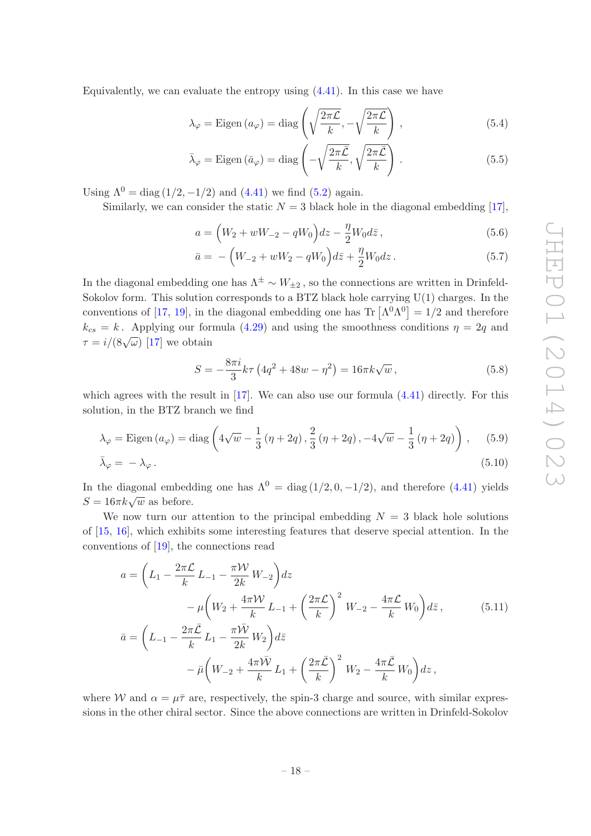Equivalently, we can evaluate the entropy using  $(4.41)$ . In this case we have

$$
\lambda_{\varphi} = \text{Eigen}\left(a_{\varphi}\right) = \text{diag}\left(\sqrt{\frac{2\pi\mathcal{L}}{k}}, -\sqrt{\frac{2\pi\mathcal{L}}{k}}\right),\tag{5.4}
$$

$$
\bar{\lambda}_{\varphi} = \text{Eigen} \left( \bar{a}_{\varphi} \right) = \text{diag} \left( -\sqrt{\frac{2\pi \bar{\mathcal{L}}}{k}}, \sqrt{\frac{2\pi \bar{\mathcal{L}}}{k}} \right). \tag{5.5}
$$

Using  $\Lambda^0 = \text{diag}(1/2, -1/2)$  and  $(4.41)$  we find  $(5.2)$  again.

Similarly, we can consider the static  $N = 3$  black hole in the diagonal embedding [\[17\]](#page-27-19),

$$
a = \left(W_2 + wW_{-2} - qW_0\right)dz - \frac{\eta}{2}W_0d\bar{z},\tag{5.6}
$$

$$
\bar{a} = -\left(W_{-2} + wW_2 - qW_0\right) d\bar{z} + \frac{\eta}{2}W_0 dz.
$$
\n(5.7)

In the diagonal embedding one has  $\Lambda^{\pm} \sim W_{+2}$ , so the connections are written in Drinfeld-Sokolov form. This solution corresponds to a BTZ black hole carrying  $U(1)$  charges. In the conventions of [\[17,](#page-27-19) [19](#page-27-11)], in the diagonal embedding one has  $\text{Tr}[\Lambda^0 \Lambda^0] = 1/2$  and therefore  $k_{cs} = k$ . Applying our formula [\(4.29\)](#page-16-1) and using the smoothness conditions  $\eta = 2q$  and  $\tau = i/(8\sqrt{\omega})$  [\[17\]](#page-27-19) we obtain

$$
S = -\frac{8\pi i}{3}k\tau \left(4q^2 + 48w - \eta^2\right) = 16\pi k\sqrt{w},\qquad(5.8)
$$

which agrees with the result in  $[17]$ . We can also use our formula  $(4.41)$  directly. For this solution, in the BTZ branch we find

$$
\lambda_{\varphi} = \text{Eigen} \left( a_{\varphi} \right) = \text{diag} \left( 4\sqrt{w} - \frac{1}{3} \left( \eta + 2q \right), \frac{2}{3} \left( \eta + 2q \right), -4\sqrt{w} - \frac{1}{3} \left( \eta + 2q \right) \right), \quad (5.9)
$$

$$
\bar{\lambda}_{\varphi} = -\lambda_{\varphi} \,. \tag{5.10}
$$

In the diagonal embedding one has  $\Lambda^{0} = \text{diag}(1/2, 0, -1/2)$ , and therefore [\(4.41\)](#page-18-2) yields  $S = 16\pi k \sqrt{w}$  as before.

We now turn our attention to the principal embedding  $N = 3$  black hole solutions of [\[15,](#page-27-9) [16\]](#page-27-17), which exhibits some interesting features that deserve special attention. In the conventions of [\[19\]](#page-27-11), the connections read

<span id="page-19-0"></span>
$$
a = \left(L_1 - \frac{2\pi\mathcal{L}}{k} L_{-1} - \frac{\pi\mathcal{W}}{2k} W_{-2}\right) dz
$$
  
\n
$$
- \mu \left(W_2 + \frac{4\pi\mathcal{W}}{k} L_{-1} + \left(\frac{2\pi\mathcal{L}}{k}\right)^2 W_{-2} - \frac{4\pi\mathcal{L}}{k} W_0\right) d\bar{z},
$$
  
\n
$$
\bar{a} = \left(L_{-1} - \frac{2\pi\bar{\mathcal{L}}}{k} L_1 - \frac{\pi\bar{\mathcal{W}}}{2k} W_2\right) d\bar{z}
$$
  
\n
$$
- \bar{\mu} \left(W_{-2} + \frac{4\pi\bar{\mathcal{W}}}{k} L_1 + \left(\frac{2\pi\bar{\mathcal{L}}}{k}\right)^2 W_2 - \frac{4\pi\bar{\mathcal{L}}}{k} W_0\right) dz,
$$
\n(5.11)

where W and  $\alpha = \mu \bar{\tau}$  are, respectively, the spin-3 charge and source, with similar expressions in the other chiral sector. Since the above connections are written in Drinfeld-Sokolov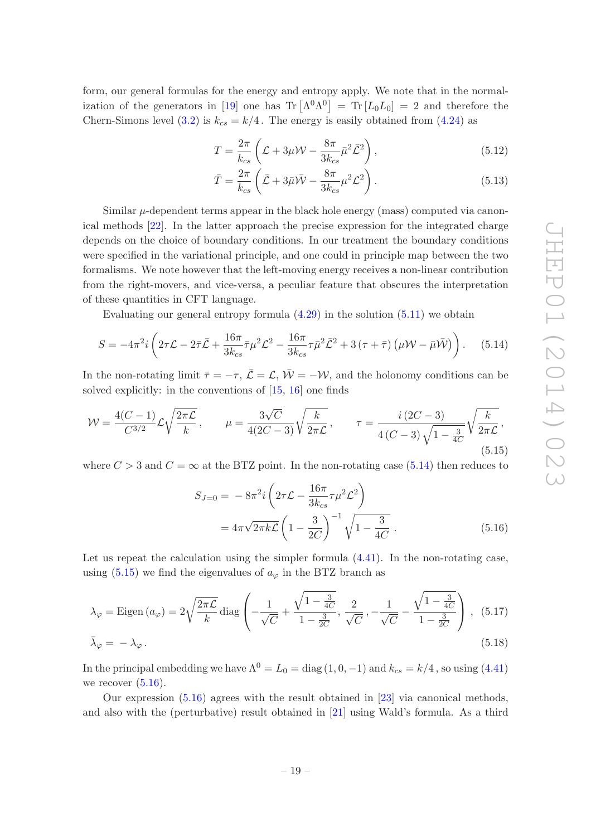form, our general formulas for the energy and entropy apply. We note that in the normal-ization of the generators in [\[19](#page-27-11)] one has  $\text{Tr}[\Lambda^0 \Lambda^0] = \text{Tr}[L_0 L_0] = 2$  and therefore the Chern-Simons level [\(3.2\)](#page-8-3) is  $k_{cs} = k/4$ . The energy is easily obtained from [\(4.24\)](#page-15-4) as

$$
T = \frac{2\pi}{k_{cs}} \left( \mathcal{L} + 3\mu \mathcal{W} - \frac{8\pi}{3k_{cs}} \bar{\mu}^2 \bar{\mathcal{L}}^2 \right),\tag{5.12}
$$

$$
\bar{T} = \frac{2\pi}{k_{cs}} \left( \bar{\mathcal{L}} + 3\bar{\mu}\bar{\mathcal{W}} - \frac{8\pi}{3k_{cs}}\mu^2 \mathcal{L}^2 \right). \tag{5.13}
$$

Similar  $\mu$ -dependent terms appear in the black hole energy (mass) computed via canonical methods [\[22](#page-27-14)]. In the latter approach the precise expression for the integrated charge depends on the choice of boundary conditions. In our treatment the boundary conditions were specified in the variational principle, and one could in principle map between the two formalisms. We note however that the left-moving energy receives a non-linear contribution from the right-movers, and vice-versa, a peculiar feature that obscures the interpretation of these quantities in CFT language.

Evaluating our general entropy formula  $(4.29)$  in the solution  $(5.11)$  we obtain

<span id="page-20-0"></span>
$$
S = -4\pi^2 i \left( 2\tau \mathcal{L} - 2\bar{\tau} \bar{\mathcal{L}} + \frac{16\pi}{3k_{cs}} \bar{\tau} \mu^2 \mathcal{L}^2 - \frac{16\pi}{3k_{cs}} \tau \bar{\mu}^2 \bar{\mathcal{L}}^2 + 3(\tau + \bar{\tau}) \left( \mu \mathcal{W} - \bar{\mu} \bar{\mathcal{W}} \right) \right). \tag{5.14}
$$

In the non-rotating limit  $\bar{\tau} = -\tau$ ,  $\bar{\mathcal{L}} = \mathcal{L}$ ,  $\bar{\mathcal{W}} = -\mathcal{W}$ , and the holonomy conditions can be solved explicitly: in the conventions of [\[15](#page-27-9), [16\]](#page-27-17) one finds

<span id="page-20-1"></span>
$$
W = \frac{4(C-1)}{C^{3/2}} \mathcal{L} \sqrt{\frac{2\pi\mathcal{L}}{k}}, \qquad \mu = \frac{3\sqrt{C}}{4(2C-3)} \sqrt{\frac{k}{2\pi\mathcal{L}}}, \qquad \tau = \frac{i(2C-3)}{4(C-3)\sqrt{1-\frac{3}{4C}}} \sqrt{\frac{k}{2\pi\mathcal{L}}},
$$
\n(5.15)

where  $C > 3$  and  $C = \infty$  at the BTZ point. In the non-rotating case [\(5.14\)](#page-20-0) then reduces to

<span id="page-20-2"></span>
$$
S_{J=0} = -8\pi^2 i \left( 2\tau \mathcal{L} - \frac{16\pi}{3k_{cs}} \tau \mu^2 \mathcal{L}^2 \right)
$$
  
=  $4\pi \sqrt{2\pi k \mathcal{L}} \left( 1 - \frac{3}{2C} \right)^{-1} \sqrt{1 - \frac{3}{4C}}.$  (5.16)

Let us repeat the calculation using the simpler formula  $(4.41)$ . In the non-rotating case, using [\(5.15\)](#page-20-1) we find the eigenvalues of  $a_{\varphi}$  in the BTZ branch as

$$
\lambda_{\varphi} = \text{Eigen}\left(a_{\varphi}\right) = 2\sqrt{\frac{2\pi\mathcal{L}}{k}} \text{diag}\left(-\frac{1}{\sqrt{C}} + \frac{\sqrt{1 - \frac{3}{4C}}}{1 - \frac{3}{2C}}, \frac{2}{\sqrt{C}}, -\frac{1}{\sqrt{C}} - \frac{\sqrt{1 - \frac{3}{4C}}}{1 - \frac{3}{2C}}\right), (5.17)
$$
  

$$
\bar{\lambda}_{\varphi} = -\lambda_{\varphi}.
$$

In the principal embedding we have 
$$
\Lambda^0 = L_0 = \text{diag}(1, 0, -1)
$$
 and  $k_{cs} = k/4$ , so using (4.41) we recover (5.16).

Our expression [\(5.16\)](#page-20-2) agrees with the result obtained in [\[23](#page-28-0)] via canonical methods, and also with the (perturbative) result obtained in [\[21\]](#page-27-13) using Wald's formula. As a third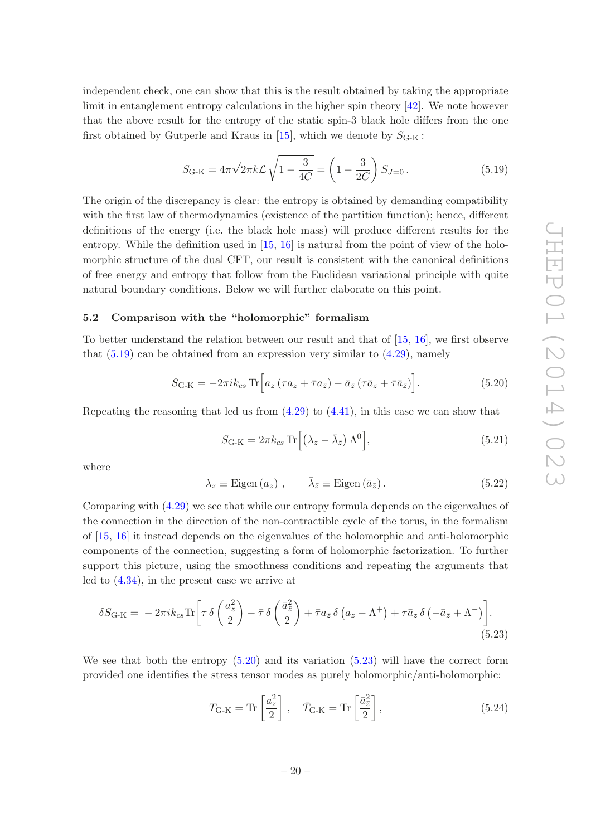independent check, one can show that this is the result obtained by taking the appropriate limit in entanglement entropy calculations in the higher spin theory [\[42\]](#page-28-19). We note however that the above result for the entropy of the static spin-3 black hole differs from the one first obtained by Gutperle and Kraus in [\[15\]](#page-27-9), which we denote by  $S_{\text{G-K}}$ :

<span id="page-21-1"></span>
$$
S_{\text{G-K}} = 4\pi \sqrt{2\pi k \mathcal{L}} \sqrt{1 - \frac{3}{4C}} = \left(1 - \frac{3}{2C}\right) S_{J=0}.
$$
 (5.19)

The origin of the discrepancy is clear: the entropy is obtained by demanding compatibility with the first law of thermodynamics (existence of the partition function); hence, different definitions of the energy (i.e. the black hole mass) will produce different results for the entropy. While the definition used in [\[15,](#page-27-9) [16](#page-27-17)] is natural from the point of view of the holomorphic structure of the dual CFT, our result is consistent with the canonical definitions of free energy and entropy that follow from the Euclidean variational principle with quite natural boundary conditions. Below we will further elaborate on this point.

## <span id="page-21-0"></span>5.2 Comparison with the "holomorphic" formalism

To better understand the relation between our result and that of [\[15,](#page-27-9) [16](#page-27-17)], we first observe that  $(5.19)$  can be obtained from an expression very similar to  $(4.29)$ , namely

<span id="page-21-2"></span>
$$
S_{\text{G-K}} = -2\pi i k_{cs} \operatorname{Tr} \left[ a_z \left( \tau a_z + \bar{\tau} a_{\bar{z}} \right) - \bar{a}_{\bar{z}} \left( \tau \bar{a}_z + \bar{\tau} \bar{a}_{\bar{z}} \right) \right]. \tag{5.20}
$$

Repeating the reasoning that led us from  $(4.29)$  to  $(4.41)$ , in this case we can show that

$$
S_{\text{G-K}} = 2\pi k_{cs} \operatorname{Tr} \left[ \left( \lambda_z - \bar{\lambda}_{\bar{z}} \right) \Lambda^0 \right],\tag{5.21}
$$

where

$$
\lambda_z \equiv \text{Eigen}(a_z) , \qquad \bar{\lambda}_{\bar{z}} \equiv \text{Eigen}(\bar{a}_{\bar{z}}) . \tag{5.22}
$$

Comparing with [\(4.29\)](#page-16-1) we see that while our entropy formula depends on the eigenvalues of the connection in the direction of the non-contractible cycle of the torus, in the formalism of [\[15,](#page-27-9) [16](#page-27-17)] it instead depends on the eigenvalues of the holomorphic and anti-holomorphic components of the connection, suggesting a form of holomorphic factorization. To further support this picture, using the smoothness conditions and repeating the arguments that led to [\(4.34\)](#page-16-4), in the present case we arrive at

$$
\delta S_{\text{G-K}} = -2\pi i k_{cs} \text{Tr} \left[ \tau \delta \left( \frac{a_z^2}{2} \right) - \bar{\tau} \delta \left( \frac{\bar{a}_z^2}{2} \right) + \bar{\tau} a_{\bar{z}} \delta \left( a_z - \Lambda^+ \right) + \tau \bar{a}_z \delta \left( -\bar{a}_{\bar{z}} + \Lambda^- \right) \right]. \tag{5.23}
$$

We see that both the entropy  $(5.20)$  and its variation  $(5.23)$  will have the correct form provided one identifies the stress tensor modes as purely holomorphic/anti-holomorphic:

<span id="page-21-3"></span>
$$
T_{\text{G-K}} = \text{Tr}\left[\frac{a_z^2}{2}\right], \quad \bar{T}_{\text{G-K}} = \text{Tr}\left[\frac{\bar{a}_{\bar{z}}^2}{2}\right],\tag{5.24}
$$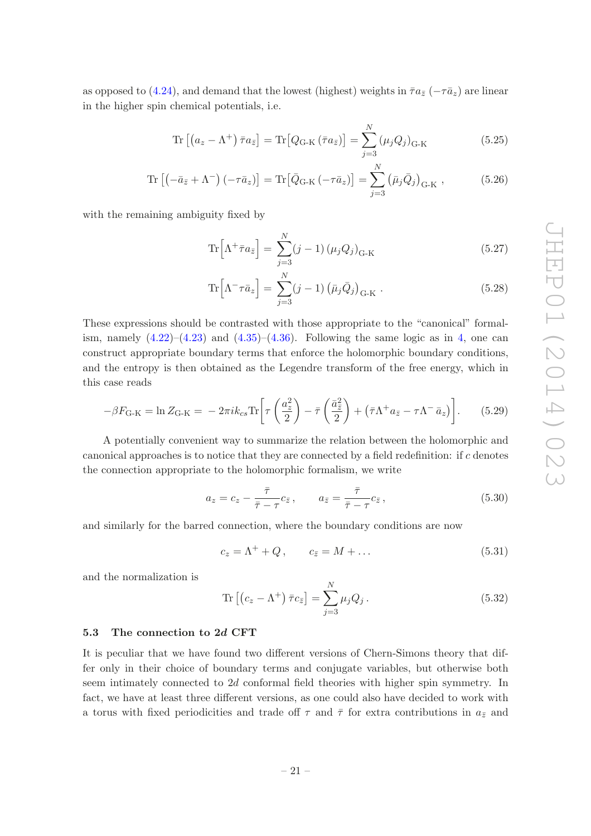as opposed to [\(4.24\)](#page-15-4), and demand that the lowest (highest) weights in  $\bar{\tau}a_{\bar{z}}$  ( $-\tau\bar{a}_z$ ) are linear in the higher spin chemical potentials, i.e.

$$
\operatorname{Tr}\left[\left(a_{z}-\Lambda^{+}\right)\bar{\tau}a_{\bar{z}}\right] = \operatorname{Tr}\left[Q_{\mathrm{G-K}}\left(\bar{\tau}a_{\bar{z}}\right)\right] = \sum_{j=3}^{N}\left(\mu_{j}Q_{j}\right)_{\mathrm{G-K}}\tag{5.25}
$$

$$
\operatorname{Tr}\left[\left(-\bar{a}_{\bar{z}} + \Lambda^{-}\right)\left(-\tau\bar{a}_{z}\right)\right] = \operatorname{Tr}\left[\bar{Q}_{\mathrm{G-K}}\left(-\tau\bar{a}_{z}\right)\right] = \sum_{j=3}^{N}\left(\bar{\mu}_{j}\bar{Q}_{j}\right)_{\mathrm{G-K}},\tag{5.26}
$$

with the remaining ambiguity fixed by

$$
\operatorname{Tr}\left[\Lambda^{+} \bar{\tau} a_{\bar{z}}\right] = \sum_{j=3}^{N} (j-1) \left(\mu_j Q_j\right)_{\text{G-K}}
$$
\n(5.27)

$$
\operatorname{Tr}\left[\Lambda^{-}\tau\bar{a}_{z}\right] = \sum_{j=3}^{N} (j-1) \left(\bar{\mu}_{j}\bar{Q}_{j}\right)_{\mathrm{G-K}}.
$$
\n(5.28)

These expressions should be contrasted with those appropriate to the "canonical" formalism, namely  $(4.22)$ – $(4.23)$  and  $(4.35)$ – $(4.36)$ . Following the same logic as in [4,](#page-11-0) one can construct appropriate boundary terms that enforce the holomorphic boundary conditions, and the entropy is then obtained as the Legendre transform of the free energy, which in this case reads

$$
-\beta F_{\text{G-K}} = \ln Z_{\text{G-K}} = -2\pi i k_{cs} \text{Tr} \left[ \tau \left( \frac{a_z^2}{2} \right) - \bar{\tau} \left( \frac{\bar{a}_z^2}{2} \right) + \left( \bar{\tau} \Lambda^+ a_{\bar{z}} - \tau \Lambda^- \bar{a}_z \right) \right]. \tag{5.29}
$$

A potentially convenient way to summarize the relation between the holomorphic and canonical approaches is to notice that they are connected by a field redefinition: if c denotes the connection appropriate to the holomorphic formalism, we write

$$
a_z = c_z - \frac{\bar{\tau}}{\bar{\tau} - \tau} c_{\bar{z}}, \qquad a_{\bar{z}} = \frac{\bar{\tau}}{\bar{\tau} - \tau} c_{\bar{z}}, \qquad (5.30)
$$

and similarly for the barred connection, where the boundary conditions are now

$$
c_z = \Lambda^+ + Q, \qquad c_{\bar{z}} = M + \dots \tag{5.31}
$$

and the normalization is

$$
\operatorname{Tr}\left[\left(c_z - \Lambda^+\right)\bar{\tau}c_{\bar{z}}\right] = \sum_{j=3}^{N} \mu_j Q_j \,. \tag{5.32}
$$

#### <span id="page-22-0"></span>5.3 The connection to 2d CFT

It is peculiar that we have found two different versions of Chern-Simons theory that differ only in their choice of boundary terms and conjugate variables, but otherwise both seem intimately connected to 2d conformal field theories with higher spin symmetry. In fact, we have at least three different versions, as one could also have decided to work with a torus with fixed periodicities and trade off  $\tau$  and  $\bar{\tau}$  for extra contributions in  $a_{\bar{z}}$  and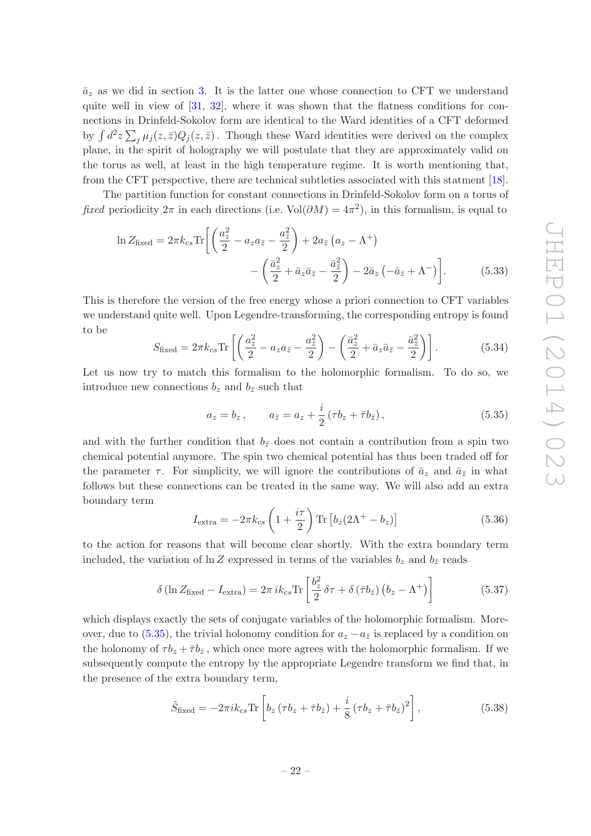$\bar{a}_z$  as we did in section [3.](#page-6-0) It is the latter one whose connection to CFT we understand quite well in view of  $[31, 32]$  $[31, 32]$  $[31, 32]$ , where it was shown that the flatness conditions for connections in Drinfeld-Sokolov form are identical to the Ward identities of a CFT deformed by  $\int d^2 z \sum_j \mu_j(z,\bar{z}) Q_j(z,\bar{z})$ . Though these Ward identities were derived on the complex plane, in the spirit of holography we will postulate that they are approximately valid on the torus as well, at least in the high temperature regime. It is worth mentioning that, from the CFT perspective, there are technical subtleties associated with this statment [\[18\]](#page-27-10).

The partition function for constant connections in Drinfeld-Sokolov form on a torus of *fixed* periodicity  $2\pi$  in each directions (i.e. Vol $(\partial M) = 4\pi^2$ ), in this formalism, is equal to

$$
\ln Z_{\text{fixed}} = 2\pi k_{cs} \text{Tr} \bigg[ \bigg( \frac{a_z^2}{2} - a_z a_{\bar{z}} - \frac{a_{\bar{z}}^2}{2} \bigg) + 2a_{\bar{z}} \left( a_z - \Lambda^+ \right) - \bigg( \frac{\bar{a}_z^2}{2} + \bar{a}_z \bar{a}_{\bar{z}} - \frac{\bar{a}_z^2}{2} \bigg) - 2\bar{a}_z \left( -\bar{a}_{\bar{z}} + \Lambda^- \right) \bigg]. \tag{5.33}
$$

This is therefore the version of the free energy whose a priori connection to CFT variables we understand quite well. Upon Legendre-transforming, the corresponding entropy is found to be

$$
S_{\text{fixed}} = 2\pi k_{cs} \text{Tr} \left[ \left( \frac{a_z^2}{2} - a_z a_{\bar{z}} - \frac{a_{\bar{z}}^2}{2} \right) - \left( \frac{\bar{a}_z^2}{2} + \bar{a}_z \bar{a}_{\bar{z}} - \frac{\bar{a}_{\bar{z}}^2}{2} \right) \right]. \tag{5.34}
$$

Let us now try to match this formalism to the holomorphic formalism. To do so, we introduce new connections  $b_z$  and  $b_{\bar{z}}$  such that

<span id="page-23-0"></span>
$$
a_z = b_z
$$
,  $a_{\bar{z}} = a_z + \frac{i}{2} (\tau b_z + \bar{\tau} b_{\bar{z}})$ , (5.35)

and with the further condition that  $b_{\bar{z}}$  does not contain a contribution from a spin two chemical potential anymore. The spin two chemical potential has thus been traded off for the parameter  $\tau$ . For simplicity, we will ignore the contributions of  $\bar{a}_z$  and  $\bar{a}_{\bar{z}}$  in what follows but these connections can be treated in the same way. We will also add an extra boundary term

<span id="page-23-1"></span>
$$
I_{\text{extra}} = -2\pi k_{cs} \left( 1 + \frac{i\tau}{2} \right) \text{Tr} \left[ b_z (2\Lambda^+ - b_z) \right] \tag{5.36}
$$

to the action for reasons that will become clear shortly. With the extra boundary term included, the variation of ln Z expressed in terms of the variables  $b_z$  and  $b_{\bar{z}}$  reads

$$
\delta\left(\ln Z_{\text{fixed}} - I_{\text{extra}}\right) = 2\pi i k_{cs} \text{Tr}\left[\frac{b_z^2}{2}\delta\tau + \delta\left(\bar{\tau}b_{\bar{z}}\right)\left(b_z - \Lambda^+\right)\right]
$$
(5.37)

which displays exactly the sets of conjugate variables of the holomorphic formalism. More-over, due to [\(5.35\)](#page-23-0), the trivial holonomy condition for  $a_z - a_{\bar{z}}$  is replaced by a condition on the holonomy of  $\tau b_z + \bar{\tau} b_{\bar{z}}$ , which once more agrees with the holomorphic formalism. If we subsequently compute the entropy by the appropriate Legendre transform we find that, in the presence of the extra boundary term,

$$
\tilde{S}_{\text{fixed}} = -2\pi i k_{cs} \text{Tr} \left[ b_z \left( \tau b_z + \bar{\tau} b_{\bar{z}} \right) + \frac{i}{8} \left( \tau b_z + \bar{\tau} b_{\bar{z}} \right)^2 \right],\tag{5.38}
$$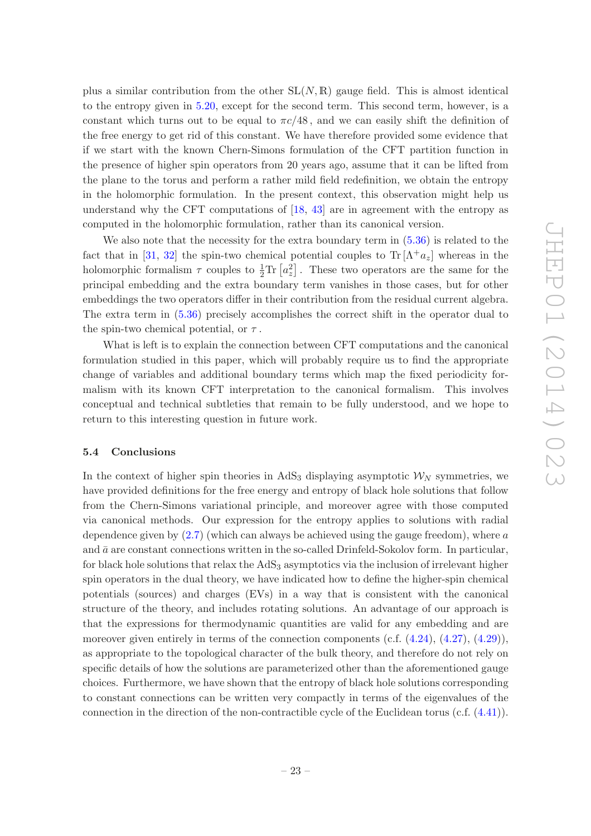plus a similar contribution from the other  $SL(N, \mathbb{R})$  gauge field. This is almost identical to the entropy given in [5.20,](#page-21-2) except for the second term. This second term, however, is a constant which turns out to be equal to  $\pi c/48$ , and we can easily shift the definition of the free energy to get rid of this constant. We have therefore provided some evidence that if we start with the known Chern-Simons formulation of the CFT partition function in the presence of higher spin operators from 20 years ago, assume that it can be lifted from the plane to the torus and perform a rather mild field redefinition, we obtain the entropy in the holomorphic formulation. In the present context, this observation might help us understand why the CFT computations of [\[18,](#page-27-10) [43\]](#page-28-20) are in agreement with the entropy as computed in the holomorphic formulation, rather than its canonical version.

We also note that the necessity for the extra boundary term in  $(5.36)$  is related to the fact that in [\[31](#page-28-8), [32\]](#page-28-9) the spin-two chemical potential couples to  $\text{Tr}[\Lambda^+a_z]$  whereas in the holomorphic formalism  $\tau$  couples to  $\frac{1}{2} \text{Tr} [a_z^2]$ . These two operators are the same for the principal embedding and the extra boundary term vanishes in those cases, but for other embeddings the two operators differ in their contribution from the residual current algebra. The extra term in [\(5.36\)](#page-23-1) precisely accomplishes the correct shift in the operator dual to the spin-two chemical potential, or  $\tau$ .

What is left is to explain the connection between CFT computations and the canonical formulation studied in this paper, which will probably require us to find the appropriate change of variables and additional boundary terms which map the fixed periodicity formalism with its known CFT interpretation to the canonical formalism. This involves conceptual and technical subtleties that remain to be fully understood, and we hope to return to this interesting question in future work.

#### <span id="page-24-0"></span>5.4 Conclusions

In the context of higher spin theories in AdS<sub>3</sub> displaying asymptotic  $W_N$  symmetries, we have provided definitions for the free energy and entropy of black hole solutions that follow from the Chern-Simons variational principle, and moreover agree with those computed via canonical methods. Our expression for the entropy applies to solutions with radial dependence given by  $(2.7)$  (which can always be achieved using the gauge freedom), where a and  $\bar{a}$  are constant connections written in the so-called Drinfeld-Sokolov form. In particular, for black hole solutions that relax the  $AdS_3$  asymptotics via the inclusion of irrelevant higher spin operators in the dual theory, we have indicated how to define the higher-spin chemical potentials (sources) and charges (EVs) in a way that is consistent with the canonical structure of the theory, and includes rotating solutions. An advantage of our approach is that the expressions for thermodynamic quantities are valid for any embedding and are moreover given entirely in terms of the connection components  $(c.f. (4.24), (4.27), (4.29)),$  $(c.f. (4.24), (4.27), (4.29)),$  $(c.f. (4.24), (4.27), (4.29)),$  $(c.f. (4.24), (4.27), (4.29)),$  $(c.f. (4.24), (4.27), (4.29)),$  $(c.f. (4.24), (4.27), (4.29)),$  $(c.f. (4.24), (4.27), (4.29)),$ as appropriate to the topological character of the bulk theory, and therefore do not rely on specific details of how the solutions are parameterized other than the aforementioned gauge choices. Furthermore, we have shown that the entropy of black hole solutions corresponding to constant connections can be written very compactly in terms of the eigenvalues of the connection in the direction of the non-contractible cycle of the Euclidean torus (c.f. [\(4.41\)](#page-18-2)).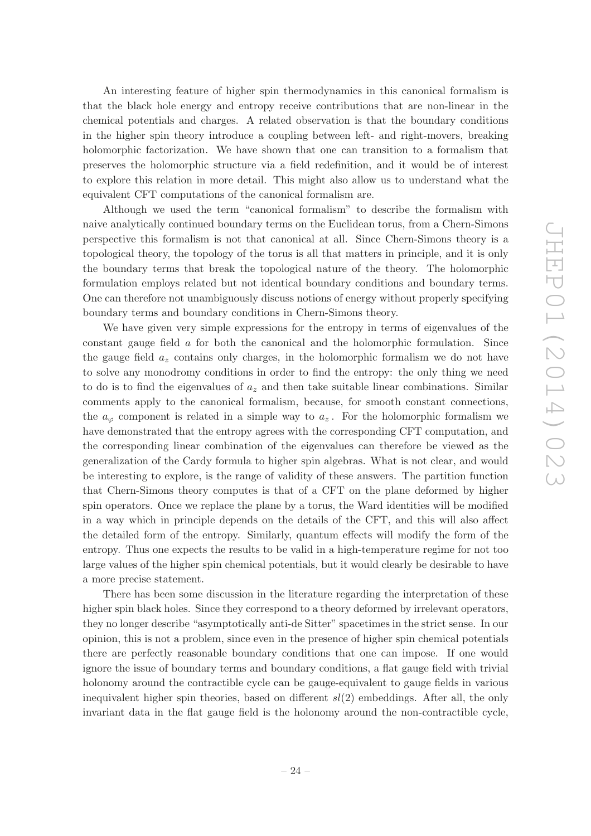An interesting feature of higher spin thermodynamics in this canonical formalism is that the black hole energy and entropy receive contributions that are non-linear in the chemical potentials and charges. A related observation is that the boundary conditions in the higher spin theory introduce a coupling between left- and right-movers, breaking holomorphic factorization. We have shown that one can transition to a formalism that preserves the holomorphic structure via a field redefinition, and it would be of interest to explore this relation in more detail. This might also allow us to understand what the equivalent CFT computations of the canonical formalism are.

Although we used the term "canonical formalism" to describe the formalism with naive analytically continued boundary terms on the Euclidean torus, from a Chern-Simons perspective this formalism is not that canonical at all. Since Chern-Simons theory is a topological theory, the topology of the torus is all that matters in principle, and it is only the boundary terms that break the topological nature of the theory. The holomorphic formulation employs related but not identical boundary conditions and boundary terms. One can therefore not unambiguously discuss notions of energy without properly specifying boundary terms and boundary conditions in Chern-Simons theory.

We have given very simple expressions for the entropy in terms of eigenvalues of the constant gauge field a for both the canonical and the holomorphic formulation. Since the gauge field  $a_z$  contains only charges, in the holomorphic formalism we do not have to solve any monodromy conditions in order to find the entropy: the only thing we need to do is to find the eigenvalues of  $a_z$  and then take suitable linear combinations. Similar comments apply to the canonical formalism, because, for smooth constant connections, the  $a_{\varphi}$  component is related in a simple way to  $a_z$ . For the holomorphic formalism we have demonstrated that the entropy agrees with the corresponding CFT computation, and the corresponding linear combination of the eigenvalues can therefore be viewed as the generalization of the Cardy formula to higher spin algebras. What is not clear, and would be interesting to explore, is the range of validity of these answers. The partition function that Chern-Simons theory computes is that of a CFT on the plane deformed by higher spin operators. Once we replace the plane by a torus, the Ward identities will be modified in a way which in principle depends on the details of the CFT, and this will also affect the detailed form of the entropy. Similarly, quantum effects will modify the form of the entropy. Thus one expects the results to be valid in a high-temperature regime for not too large values of the higher spin chemical potentials, but it would clearly be desirable to have a more precise statement.

There has been some discussion in the literature regarding the interpretation of these higher spin black holes. Since they correspond to a theory deformed by irrelevant operators, they no longer describe "asymptotically anti-de Sitter" spacetimes in the strict sense. In our opinion, this is not a problem, since even in the presence of higher spin chemical potentials there are perfectly reasonable boundary conditions that one can impose. If one would ignore the issue of boundary terms and boundary conditions, a flat gauge field with trivial holonomy around the contractible cycle can be gauge-equivalent to gauge fields in various inequivalent higher spin theories, based on different  $sl(2)$  embeddings. After all, the only invariant data in the flat gauge field is the holonomy around the non-contractible cycle,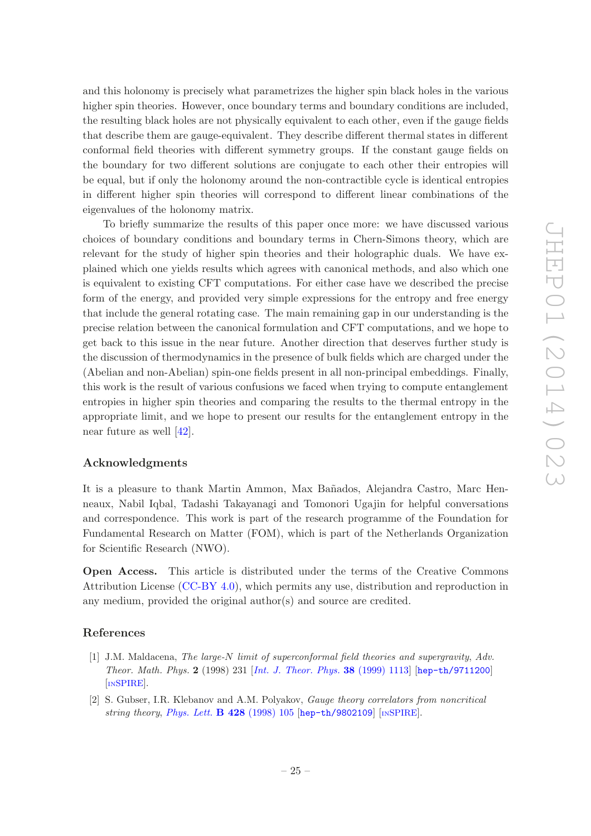and this holonomy is precisely what parametrizes the higher spin black holes in the various higher spin theories. However, once boundary terms and boundary conditions are included, the resulting black holes are not physically equivalent to each other, even if the gauge fields that describe them are gauge-equivalent. They describe different thermal states in different conformal field theories with different symmetry groups. If the constant gauge fields on the boundary for two different solutions are conjugate to each other their entropies will be equal, but if only the holonomy around the non-contractible cycle is identical entropies in different higher spin theories will correspond to different linear combinations of the eigenvalues of the holonomy matrix.

To briefly summarize the results of this paper once more: we have discussed various choices of boundary conditions and boundary terms in Chern-Simons theory, which are relevant for the study of higher spin theories and their holographic duals. We have explained which one yields results which agrees with canonical methods, and also which one is equivalent to existing CFT computations. For either case have we described the precise form of the energy, and provided very simple expressions for the entropy and free energy that include the general rotating case. The main remaining gap in our understanding is the precise relation between the canonical formulation and CFT computations, and we hope to get back to this issue in the near future. Another direction that deserves further study is the discussion of thermodynamics in the presence of bulk fields which are charged under the (Abelian and non-Abelian) spin-one fields present in all non-principal embeddings. Finally, this work is the result of various confusions we faced when trying to compute entanglement entropies in higher spin theories and comparing the results to the thermal entropy in the appropriate limit, and we hope to present our results for the entanglement entropy in the near future as well [\[42\]](#page-28-19).

### Acknowledgments

It is a pleasure to thank Martin Ammon, Max Bañados, Alejandra Castro, Marc Henneaux, Nabil Iqbal, Tadashi Takayanagi and Tomonori Ugajin for helpful conversations and correspondence. This work is part of the research programme of the Foundation for Fundamental Research on Matter (FOM), which is part of the Netherlands Organization for Scientific Research (NWO).

Open Access. This article is distributed under the terms of the Creative Commons Attribution License [\(CC-BY 4.0\)](http://creativecommons.org/licenses/by/4.0/), which permits any use, distribution and reproduction in any medium, provided the original author(s) and source are credited.

#### References

- <span id="page-26-0"></span>[1] J.M. Maldacena, *The large-*N *limit of superconformal field theories and supergravity*, *Adv. Theor. Math. Phys.* 2 (1998) 231 [*[Int. J. Theor. Phys.](http://dx.doi.org/10.1023/A:1026654312961)* 38 (1999) 1113] [[hep-th/9711200](http://arxiv.org/abs/hep-th/9711200)] [IN[SPIRE](http://inspirehep.net/search?p=find+EPRINT+hep-th/9711200)].
- [2] S. Gubser, I.R. Klebanov and A.M. Polyakov, *Gauge theory correlators from noncritical string theory, [Phys. Lett.](http://dx.doi.org/10.1016/S0370-2693(98)00377-3)* **B 428** (1998) 105 [[hep-th/9802109](http://arxiv.org/abs/hep-th/9802109)] [IN[SPIRE](http://inspirehep.net/search?p=find+EPRINT+hep-th/9802109)].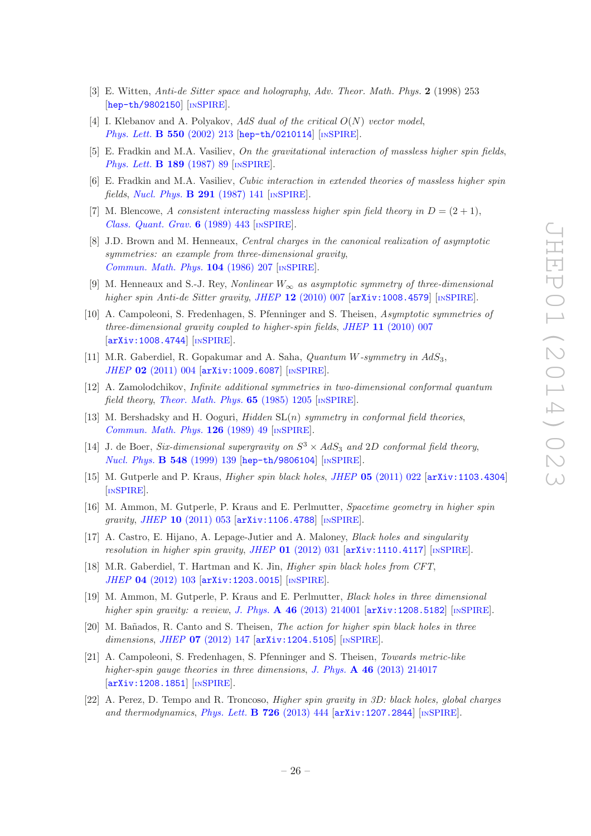- <span id="page-27-0"></span>[3] E. Witten, *Anti-de Sitter space and holography*, *Adv. Theor. Math. Phys.* 2 (1998) 253 [[hep-th/9802150](http://arxiv.org/abs/hep-th/9802150)] [IN[SPIRE](http://inspirehep.net/search?p=find+EPRINT+hep-th/9802150)].
- <span id="page-27-1"></span>[4] I. Klebanov and A. Polyakov, *AdS dual of the critical* O(N) *vector model*, *[Phys. Lett.](http://dx.doi.org/10.1016/S0370-2693(02)02980-5)* B 550 (2002) 213 [[hep-th/0210114](http://arxiv.org/abs/hep-th/0210114)] [IN[SPIRE](http://inspirehep.net/search?p=find+EPRINT+hep-th/0210114)].
- <span id="page-27-2"></span>[5] E. Fradkin and M.A. Vasiliev, *On the gravitational interaction of massless higher spin fields*, *[Phys. Lett.](http://dx.doi.org/10.1016/0370-2693(87)91275-5)* **B 189** (1987) 89 [IN[SPIRE](http://inspirehep.net/search?p=find+J+Phys.Lett.,B189,89)].
- <span id="page-27-3"></span>[6] E. Fradkin and M.A. Vasiliev, *Cubic interaction in extended theories of massless higher spin fields*, *[Nucl. Phys.](http://dx.doi.org/10.1016/0550-3213(87)90469-X)* B 291 (1987) 141 [IN[SPIRE](http://inspirehep.net/search?p=find+J+Nucl.Phys.,B291,141)].
- <span id="page-27-4"></span>[7] M. Blencowe, *A* consistent interacting massless higher spin field theory in  $D = (2 + 1)$ , *[Class. Quant. Grav.](http://dx.doi.org/10.1088/0264-9381/6/4/005)* 6 (1989) 443 [IN[SPIRE](http://inspirehep.net/search?p=find+J+Class.Quant.Grav.,6,443)].
- <span id="page-27-5"></span>[8] J.D. Brown and M. Henneaux, *Central charges in the canonical realization of asymptotic symmetries: an example from three-dimensional gravity*, *[Commun. Math. Phys.](http://dx.doi.org/10.1007/BF01211590)* 104 (1986) 207 [IN[SPIRE](http://inspirehep.net/search?p=find+J+CMPHA,104,207)].
- <span id="page-27-6"></span>[9] M. Henneaux and S.-J. Rey, *Nonlinear* W<sup>∞</sup> *as asymptotic symmetry of three-dimensional higher spin Anti-de Sitter gravity*, *JHEP* 12 [\(2010\) 007](http://dx.doi.org/10.1007/JHEP12(2010)007) [[arXiv:1008.4579](http://arxiv.org/abs/1008.4579)] [IN[SPIRE](http://inspirehep.net/search?p=find+EPRINT+arXiv:1008.4579)].
- <span id="page-27-18"></span>[10] A. Campoleoni, S. Fredenhagen, S. Pfenninger and S. Theisen, *Asymptotic symmetries of three-dimensional gravity coupled to higher-spin fields*, *JHEP* 11 [\(2010\) 007](http://dx.doi.org/10.1007/JHEP11(2010)007) [[arXiv:1008.4744](http://arxiv.org/abs/1008.4744)] [IN[SPIRE](http://inspirehep.net/search?p=find+EPRINT+arXiv:1008.4744)].
- <span id="page-27-7"></span>[11] M.R. Gaberdiel, R. Gopakumar and A. Saha, *Quantum* W*-symmetry in* AdS3, *JHEP* 02 [\(2011\) 004](http://dx.doi.org/10.1007/JHEP02(2011)004) [[arXiv:1009.6087](http://arxiv.org/abs/1009.6087)] [IN[SPIRE](http://inspirehep.net/search?p=find+EPRINT+arXiv:1009.6087)].
- <span id="page-27-8"></span>[12] A. Zamolodchikov, *Infinite additional symmetries in two-dimensional conformal quantum field theory*, *[Theor. Math. Phys.](http://dx.doi.org/10.1007/BF01036128)* 65 (1985) 1205 [IN[SPIRE](http://inspirehep.net/search?p=find+J+Theor.Math.Phys.,65,1205)].
- <span id="page-27-15"></span>[13] M. Bershadsky and H. Ooguri, *Hidden* SL(n) *symmetry in conformal field theories*, *[Commun. Math. Phys.](http://dx.doi.org/10.1007/BF02124331)* 126 (1989) 49 [IN[SPIRE](http://inspirehep.net/search?p=find+J+CMPHA,126,49)].
- <span id="page-27-16"></span>[14] J. de Boer, *Six-dimensional supergravity on*  $S^3 \times AdS_3$  *and* 2D *conformal field theory*, *[Nucl. Phys.](http://dx.doi.org/10.1016/S0550-3213(99)00160-1)* **B 548** (1999) 139 [[hep-th/9806104](http://arxiv.org/abs/hep-th/9806104)] [IN[SPIRE](http://inspirehep.net/search?p=find+EPRINT+hep-th/9806104)].
- <span id="page-27-9"></span>[15] M. Gutperle and P. Kraus, *Higher spin black holes*, *JHEP* 05 [\(2011\) 022](http://dx.doi.org/10.1007/JHEP05(2011)022) [[arXiv:1103.4304](http://arxiv.org/abs/1103.4304)] [IN[SPIRE](http://inspirehep.net/search?p=find+EPRINT+arXiv:1103.4304)].
- <span id="page-27-17"></span>[16] M. Ammon, M. Gutperle, P. Kraus and E. Perlmutter, *Spacetime geometry in higher spin gravity*, *JHEP* 10 [\(2011\) 053](http://dx.doi.org/10.1007/JHEP10(2011)053) [[arXiv:1106.4788](http://arxiv.org/abs/1106.4788)] [IN[SPIRE](http://inspirehep.net/search?p=find+EPRINT+arXiv:1106.4788)].
- <span id="page-27-19"></span>[17] A. Castro, E. Hijano, A. Lepage-Jutier and A. Maloney, *Black holes and singularity resolution in higher spin gravity*, *JHEP* 01 [\(2012\) 031](http://dx.doi.org/10.1007/JHEP01(2012)031) [[arXiv:1110.4117](http://arxiv.org/abs/1110.4117)] [IN[SPIRE](http://inspirehep.net/search?p=find+EPRINT+arXiv:1110.4117)].
- <span id="page-27-10"></span>[18] M.R. Gaberdiel, T. Hartman and K. Jin, *Higher spin black holes from CFT*, *JHEP* 04 [\(2012\) 103](http://dx.doi.org/10.1007/JHEP04(2012)103) [[arXiv:1203.0015](http://arxiv.org/abs/1203.0015)] [IN[SPIRE](http://inspirehep.net/search?p=find+EPRINT+arXiv:1203.0015)].
- <span id="page-27-11"></span>[19] M. Ammon, M. Gutperle, P. Kraus and E. Perlmutter, *Black holes in three dimensional higher spin gravity: a review*, *J. Phys.* A 46 [\(2013\) 214001](http://dx.doi.org/10.1088/1751-8113/46/21/214001) [[arXiv:1208.5182](http://arxiv.org/abs/1208.5182)] [IN[SPIRE](http://inspirehep.net/search?p=find+EPRINT+arXiv:1208.5182)].
- <span id="page-27-12"></span>[20] M. Ba˜nados, R. Canto and S. Theisen, *The action for higher spin black holes in three dimensions*, *JHEP* 07 [\(2012\) 147](http://dx.doi.org/10.1007/JHEP07(2012)147) [[arXiv:1204.5105](http://arxiv.org/abs/1204.5105)] [IN[SPIRE](http://inspirehep.net/search?p=find+EPRINT+arXiv:1204.5105)].
- <span id="page-27-13"></span>[21] A. Campoleoni, S. Fredenhagen, S. Pfenninger and S. Theisen, *Towards metric-like higher-spin gauge theories in three dimensions*, *J. Phys.* A 46 [\(2013\) 214017](http://dx.doi.org/10.1088/1751-8113/46/21/214017) [[arXiv:1208.1851](http://arxiv.org/abs/1208.1851)] [IN[SPIRE](http://inspirehep.net/search?p=find+EPRINT+arXiv:1208.1851)].
- <span id="page-27-14"></span>[22] A. Perez, D. Tempo and R. Troncoso, *Higher spin gravity in 3D: black holes, global charges and thermodynamics*, *[Phys. Lett.](http://dx.doi.org/10.1016/j.physletb.2013.08.038)* **B 726** (2013) 444 [[arXiv:1207.2844](http://arxiv.org/abs/1207.2844)] [IN[SPIRE](http://inspirehep.net/search?p=find+EPRINT+arXiv:1207.2844)].